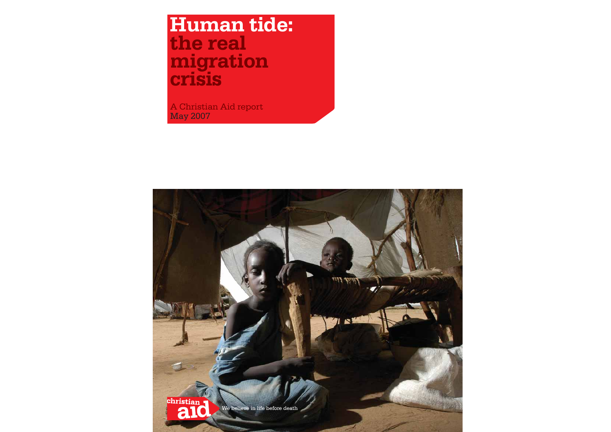# **Human tide: the real migration gcr i sis**

A Christian Aid report May 2007

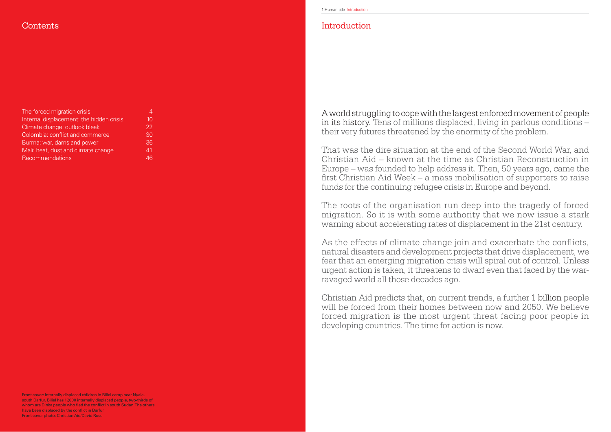A world struggling to cope with the largest enforced movement of people in its history. Tens of millions displaced, living in parlous conditions – their very futures threatened by the enormity of the problem.

That was the dire situation at the end of the Second World War, and Christian Aid – known at the time as Christian Reconstruction in Europe – was founded to help address it. Then, 50 years ago, came the first Christian Aid Week – a mass mobilisation of supporters to raise funds for the continuing refugee crisis in Europe and beyond.

The roots of the organisation run deep into the tragedy of forced migration. So it is with some authority that we now issue a stark warning about accelerating rates of displacement in the 21st century.

As the effects of climate change join and exacerbate the conflicts, natural disasters and development projects that drive displacement, we fear that an emerging migration crisis will spiral out of control. Unless urgent action is taken, it threatens to dwarf even that faced by the warravaged world all those decades ago.

Christian Aid predicts that, on current trends, a further 1 billion people will be forced from their homes between now and 2050. We believe forced migration is the most urgent threat facing poor people in developing countries. The time for action is now.

### Introduction

## **Contents**

| The forced migration crisis              | 4  |
|------------------------------------------|----|
| Internal displacement: the hidden crisis | 10 |
| Climate change: outlook bleak            | 22 |
| Colombia: conflict and commerce          | 30 |
| Burma: war, dams and power               | 36 |
| Mali: heat, dust and climate change      | 41 |
| Recommendations                          | 46 |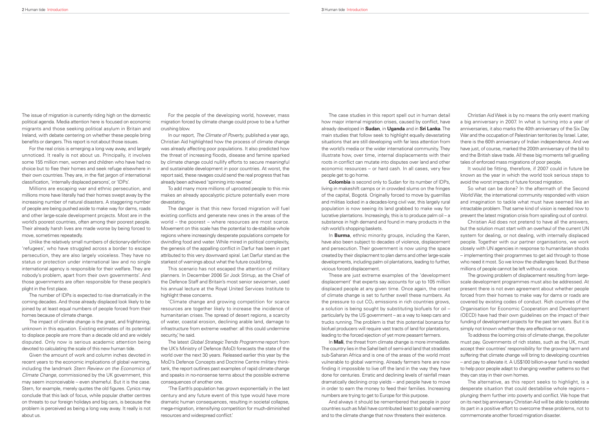The case studies in this report spell out in human detail how major internal migration crises, caused by conflict, have already developed in **Sudan**, in **Uganda** and in **Sri Lanka**. The main studies that follow seek to highlight equally devastating situations that are still developing with far less attention from the world's media or the wider international community. They illustrate how, over time, internal displacements with their roots in conflict can mutate into disputes over land and other economic resources – or hard cash. In all cases, very few people get to go home.

In **Burma**, ethnic minority groups, including the Karen, have also been subject to decades of violence, displacement and persecution. Their government is now using the space created by their displacment to plan dams and other large-scale developments, including palm oil plantations, leading to further, vicious forced displacement.

**Colombia** is second only to Sudan for its number of IDPs, living in makeshift camps or in crowded slums on the fringes of the capital, Bogotá. Originally forced to move by guerrillas and militias locked in a decades-long civil war, this largely rural population is now seeing its land grabbed to make way for lucrative plantations. Increasingly, this is to produce palm oil – a substance in high demand and found in many products in the rich world's shopping baskets.

In **Mali**, the threat from climate change is more immediate. The country lies in the Sahel belt of semi-arid land that straddles sub-Saharan Africa and is one of the areas of the world most vulnerable to global warming. Already farmers here are now finding it impossible to live off the land in the way they have done for centuries. Erratic and declining levels of rainfall mean dramatically declining crop yields – and people have to move in order to earn the money to feed their families. Increasing numbers are trying to get to Europe for this purpose.

These are just extreme examples of the 'development displacement' that experts say accounts for up to 105 million displaced people at any given time. Once again, the onset of climate change is set to further swell these numbers. As the pressure to cut CO<sub>2</sub> emissions in rich countries grows, a solution is being sought by substituting biofuels for oil – particularly by the US government – as a way to keep cars and trucks running. The problem is that this potential bonanza for biofuel producers will require vast tracts of land for plantations, leading to the forced ejection of yet more peasant farmers.

And always it should be remembered that people in poor countries such as Mali have contributed least to global warming and to the climate change that now threatens their existence.

The issue of migration is currently riding high on the domestic political agenda. Media attention here is focused on economic migrants and those seeking political asylum in Britain and Ireland, with debate centering on whether these people bring benefits or dangers. This report is not about those issues.

For the real crisis is emerging a long way away, and largely unnoticed. It really is not about us. Principally, it involves some 155 million men, women and children who have had no choice but to flee their homes and seek refuge elsewhere in their own countries. They are, in the flat jargon of international classification, 'internally displaced persons', or 'IDPs'.

Christian Aid Week is by no means the only event marking a big anniversary in 2007. In what is turning into a year of anniversaries, it also marks the 40th anniversary of the Six Day War and the occupation of Palestinian territories by Israel. Later, there is the 60th anniversary of Indian independence. And we have just, of course, marked the 200th anniversary of the bill to end the British slave trade. All these big moments tell gruelling tales of enforced mass migrations of poor people.

It would be fitting, therefore, if 2007 could in future be known as the year in which the world took serious steps to avoid the worst impacts of future forced migration.

So what can be done? In the aftermath of the Second World War, the international community responded with vision and imagination to tackle what must have seemed like an intractable problem. That same kind of vision is needed now to prevent the latest migration crisis from spiralling out of control.

Christian Aid does not pretend to have all the answers, but the solution must start with an overhaul of the current UN system for dealing, or not dealing, with internally displaced people. Together with our partner organisations, we work closely with UN agencies in response to humanitarian shocks – implementing their programmes to get aid through to those who need it most. So we know the challenges faced. But these millions of people cannot be left without a voice.

In our report, The Climate of Poverty, published a year ago, Christian Aid highlighted how the process of climate change was already affecting poor populations. It also predicted how the threat of increasing floods, disease and famine sparked by climate change could nullify efforts to secure meaningful and sustainable development in poor countries. At worst, the report said, these ravages could send the real progress that has already been achieved 'spinning into reverse'.

> The growing problem of displacement resulting from largescale development programmes must also be addressed. At present there is not even agreement about whether people forced from their homes to make way for dams or roads are covered by existing codes of conduct. Rich countries of the Organisation for Economic Cooperation and Development (OECD) have had their own guidelines on the impact of their funding of development projects for the past ten years. But it is simply not known whether they are effective or not.

'Climate change and growing competition for scarce resources are together likely to increase the incidence of humanitarian crises. The spread of desert regions, a scarcity of water, coastal erosion, declining arable land, damage to infrastructure from extreme weather: all this could undermine security,' he said.

To address the looming crisis of climate change, the polluter must pay. Governments of rich states, such as the UK, must accept their countries' responsibility for the growing harm and suffering that climate change will bring to developing countries – and pay to alleviate it. A US\$100 billion-a-year fund is needed to help poor people adapt to changing weather patterns so that they can stay in their own homes.

The latest Global Strategic Trends Programme report from the UK's Ministry of Defence (MoD) forecasts the state of the world over the next 30 years. Released earlier this year by the MoD's Defence Concepts and Doctrine Centre military thinktank, the report outlines past examples of rapid climate change and speaks in no-nonsense terms about the possible extreme consequences of another one.

'The Earth's population has grown exponentially in the last century and any future event of this type would have more dramatic human consequences, resulting in societal collapse, mega-migration, intensifying competition for much-diminished resources and widespread conflict.'

The alternative, as this report seeks to highlight, is a desperate situation that could destabilise whole regions – plunging them further into poverty and conflict. We hope that on its next big anniversary Christian Aid will be able to celebrate its part in a positive effort to overcome these problems, not to commemorate another forced migration disaster.

Millions are escaping war and ethnic persecution, and millions more have literally had their homes swept away by the increasing number of natural disasters. A staggering number of people are being pushed aside to make way for dams, roads and other large-scale development projects. Most are in the world's poorest countries, often among their poorest people. Their already harsh lives are made worse by being forced to move, sometimes repeatedly.

Unlike the relatively small numbers of dictionary-definition 'refugees', who have struggled across a border to escape persecution, they are also largely voiceless. They have no status or protection under international law and no single international agency is responsible for their welfare. They are nobody's problem, apart from their own governments'. And those governments are often responsible for these people's plight in the first place.

The number of IDPs is expected to rise dramatically in the coming decades. And those already displaced look likely to be joined by at least equal numbers of people forced from their homes because of climate change.

The impact of climate change is the great, and frightening, unknown in this equation. Existing estimates of its potential to displace people are more than a decade old and are widely disputed. Only now is serious academic attention being devoted to calculating the scale of this new human tide.

Given the amount of work and column inches devoted in recent years to the economic implications of global warming, including the landmark Stern Review on the Economics of Climate Change, commissioned by the UK government, this may seem inconceivable – even shameful. But it is the case. Stern, for example, merely quotes the old figures. Cynics may conclude that this lack of focus, while popular chatter centres on threats to our foreign holidays and big cars, is because the problem is perceived as being a long way away. It really is not about us.

For the people of the developing world, however, mass migration forced by climate change could prove to be a further crushing blow.

To add many more millions of uprooted people to this mix makes an already apocalyptic picture potentially even more devastating.

The danger is that this new forced migration will fuel existing conflicts and generate new ones in the areas of the world – the poorest – where resources are most scarce. Movement on this scale has the potential to de-stabilise whole regions where increasingly desperate populations compete for dwindling food and water. While mired in political complexity, the genesis of the appalling conflict in Darfur has been in part attributed to this very downward spiral. Let Darfur stand as the starkest of warnings about what the future could bring.

This scenario has not escaped the attention of military planners. In December 2006 Sir Jock Stirrup, as the Chief of the Defence Staff and Britain's most senior seviceman, used his annual lecture at the Royal United Services Institute to highlight these concerns.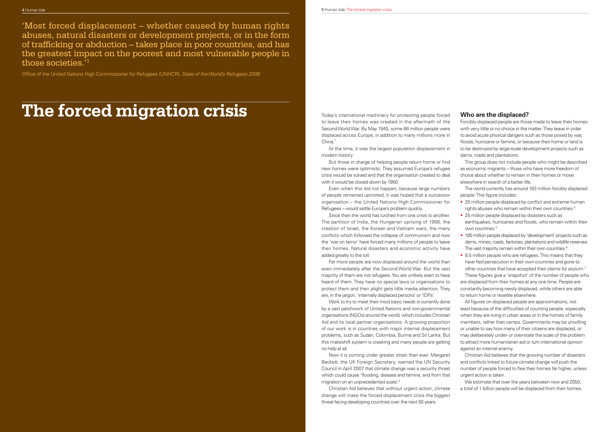But those in charge of helping people return home or find new homes were optimistic. They assumed Europe's refugee crisis would be solved and that the organisation created to deal with it would be closed down by 1950.

At the time, it was the largest population displacement in modern history.

Since then the world has lurched from one crisis to another. The partition of India, the Hungarian uprising of 1956, the creation of Israel, the Korean and Vietnam wars, the many conflicts which followed the collapse of communism and now the 'war on terror' have forced many millions of people to leave their homes. Natural disasters and economic activity have added greatly to the toll.

- 
- 25 million people displaced by disasters such as earthquakes, hurricanes and floods, who remain within their own countries.5
- 105 million people displaced by 'development' projects such as dams, mines, roads, factories, plantations and wildlife reserves. The vast majority remain within their own countries.<sup>6</sup>
- 8.5 million people who are refugees. This means that they have fled persecution in their own countries and gone to

Even when this did not happen, because large numbers of people remained uprooted, it was hoped that a successor organisation – the United Nations High Commissioner for Refugees – would settle Europe's problem quickly. The world currently has around 163 million forcibly displaced people. This figure includes: • 25 million people displaced by conflict and extreme human rights abuses who remain within their own countries.4

Now it is coming under greater strain than ever. Margaret Beckett, the UK Foreign Secretary, warned the UN Security Council in April 2007 that climate change was a security threat which could cause 'flooding, disease and famine, and from that migration on an unprecedented scale'.3

Christian Aid believes that without urgent action, climate change will make the forced displacement crisis the biggest threat facing developing countries over the next 50 years.

#### **Who are the displaced?**

Far more people are now displaced around the world than even immediately after the Second World War. But the vast majority of them are not refugees. You are unlikely even to have heard of them. They have no special laws or organisations to protect them and their plight gets little media attention. They are, in the jargon, 'internally displaced persons' or 'IDPs'. other countries that have accepted their claims for asylum.7 These figures give a 'snapshot' of the number of people who are displaced from their homes at any one time. People are constantly becoming newly displaced, while others are able to return home or resettle elsewhere.

Forcibly displaced people are those made to leave their homes with very little or no choice in the matter. They leave in order to avoid acute physical dangers such as those posed by war, floods, hurricane or famine, or because their home or land is to be destroyed by large-scale development projects such as dams, roads and plantations.

This group does not include people who might be described as economic migrants – those who have more freedom of choice about whether to remain in their homes or move elsewhere in search of a better life.

Work to try to meet their most basic needs is currently done by a vast patchwork of United Nations and non-governmental organisations (NGOs) around the world, which includes Christian Aid and its local partner organisations. A growing proportion of our work is in countries with major internal displacement problems, such as Sudan, Colombia, Burma and Sri Lanka. But this makeshift system is creaking and many people are getting no help at all. All figures on displaced people are approximations, not least because of the difficulties of counting people, especially when they are living in urban areas or in the homes of family members, rather than camps. Governments may be unwilling or unable to say how many of their citizens are displaced, or may deliberately under- or over-state the scale of the problem to attract more humanitarian aid or turn international opinion against an internal enemy.

Christian Aid believes that the growing number of disasters and conflicts linked to future climate change will push the number of people forced to flee their homes far higher, unless urgent action is taken.

We estimate that over the years between now and 2050, a total of 1 billion people will be displaced from their homes.

Today's international machinery for protecting people forced to leave their homes was created in the aftermath of the Second World War. By May 1945, some 66 million people were displaced across Europe, in addition to many millions more in China.<sup>2</sup>

'Most forced displacement – whether caused by human rights abuses, natural disasters or development projects, or in the form of trafficking or abduction – takes place in poor countries, and has the greatest impact on the poorest and most vulnerable people in those societies.'1

Office of the United Nations High Commissioner for Refugees (UNHCR), State of the World's Refugees 2006

# **The forced migration crisis**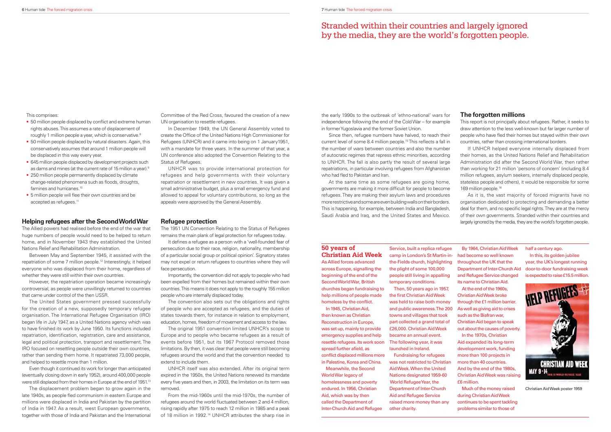**Christian Aid Week**As Allied forces advanced across Europe, signalling the beginning of the end of the Second World War, British churches began fundraising to help millions of people made homeless by the conflict.

## **50 years of**

In 1945, Christian Aid, then known as Christian Reconstruction in Europe, was set up, mainly to provide emergency supplies and help resettle refugees. Its work soon spread further afield, as conflict displaced millions more

in Palestine, Korea and China. Meanwhile, the Second

World War legacy of homelessness and poverty endured. In 1956, Christian Aid, which was by then called the Department of Inter-Church Aid and Refugee Service, built a replica refugee camp in London's St Martin-in-had become so well known the-Fields church, highlighting the plight of some 100,000 people still living in appalling temporary conditions.

Then, 50 years ago in 1957, the first Christian Aid Week was held to raise both money and public awareness. The 200 towns and villages that took part collected a grand total of £26,000. Christian Aid Week became an annual event. The following year, it was launched in Ireland.

Since then, refugee numbers have halved, to reach their current level of some 8.4 million people.<sup>15</sup> This reflects a fall in the number of wars between countries and also the number of autocratic regimes that repress ethnic minorities, according to UNHCR. The fall is also partly the result of several large repatriations, in particular involving refugees from Afghanistan who had fled to Pakistan and Iran.

> Fundraising for refugees was not restricted to Christian Aid Week. When the United Nations designated 1959-60 World Refugee Year, the Department of Inter-Church Aid and Refugee Service raised more money than any other charity.

By 1964, Christian Aid Week throughout the UK that the and Refugee Service changed its name to Christian Aid. At the end of the 1960s, Christian Aid Week broke through the £1 million barrier. As well as giving aid to crises such as the Biafran war, Christian Aid began to speak out about the causes of poverty. In the 1970s, Christian Aid expanded its long-term development work, funding more than 100 projects in more than 40 countries. And by the end of the 1980s, Christian Aid Week was raising £6 million. Much of the money raised

Department of Inter-Church Aid door-to-door fundraising week half a century ago. In this, its golden jubilee year, the UK's longest running

during Christian Aid Week continues to be spent tackling problems similar to those of

the early 1990s to the outbreak of 'ethno-national' wars for independence following the end of the Cold War – for example in former Yugoslavia and the former Soviet Union.

Even though it continued its work for longer than anticipated (eventually closing down in early 1952), around 400,000 people were still displaced from their homes in Europe at the end of 1951.<sup>13</sup>

#### **The forgotten millions**

This report is not principally about refugees. Rather, it seeks to draw attention to the less well-known but far larger number of people who have fled their homes but staved within their own countries, rather than crossing international borders.

At the same time as some refugees are going home, governments are making it more difficult for people to become refugees. They are making their asylum laws and procedures more restrictive and some are even building walls on their borders. This is happening, for example, between India and Bangladesh, Saudi Arabia and Iraq, and the United States and Mexico. 169 million people.16 As it is, the vast majority of forced migrants have no organisation dedicated to protecting and demanding a better deal for them, and no specific legal rights. They are at the mercy of their own governments. Stranded within their countries and largely ignored by the media, they are the world's forgotten people.

If UNHCR helped everyone internally displaced from their homes, as the United Nations Relief and Rehabilitation Administration did after the Second World War, then rather than working for 21 million 'persons of concern' (including 8.4 million refugees, asylum seekers, internally displaced people, stateless people and others), it would be responsible for some

It defines a refugee as a person with a 'well-founded fear of persecution due to their race, religion, nationality, membership of a particular social group or political opinion'. Signatory states may not expel or return refugees to countries where they will face persecution.

## Stranded within their countries and largely ignored by the media, they are the world's forgotten people.

This comprises:

- 50 million people displaced by conflict and extreme human rights abuses. This assumes a rate of displacement of roughly 1 million people a year, which is conservative.<sup>8</sup>
- 50 million people displaced by natural disasters. Again, this conservatively assumes that around 1 million people will be displaced in this way every year.
- 645 million people displaced by development projects such as dams and mines (at the current rate of 15 million a year).9
- 250 million people permanently displaced by climate change-related phenomena such as floods, droughts, famines and hurricanes.<sup>10</sup>
- 5 million people will flee their own countries and be accepted as refugees.<sup>11</sup>

#### **Helping refugees after the Second World War**

The Allied powers had realised before the end of the war that huge numbers of people would need to be helped to return home, and in November 1943 they established the United Nations Relief and Rehabilitation Administration.

Between May and September 1945, it assisted with the repatriation of some 7 million people.12 Interestingly, it helped everyone who was displaced from their home, regardless of whether they were still within their own countries.

However, the repatriation operation became increasingly controversial, as people were unwillingly returned to countries that came under control of the then USSR.



Christian Aid Week poster 1959

The United States government pressed successfully for the creation of a new, supposedly temporary refugee organisation. The International Refugee Organisation (IRO) began life in July 1947, as a United Nations agency which was to have finished its work by June 1950. Its functions included repatriation, identification, registration, care and assistance. legal and political protection, transport and resettlement. The IRO focused on resettling people outside their own countries, rather than sending them home. It repatriated 73,000 people, and helped to resettle more than 1 million.

The displacement problem began to grow again in the late 1940s, as people fled communism in eastern Europe and millions were displaced in India and Pakistan by the partition of India in 1947. As a result, west European governments, together with those of India and Pakistan and the International

Committee of the Red Cross, favoured the creation of a new UN organisation to resettle refugees.

In December 1949, the UN General Assembly voted to create the Office of the United Nations High Commissioner for Refugees (UNHCR) and it came into being on 1 January1951, with a mandate for three years. In the summer of that year, a UN conference also adopted the Convention Relating to the Status of Refugees.

UNHCR was to provide international protection for refugees and help governments with their voluntary repatriation or resettlement in new countries. It was given a small administrative budget, plus a small emergency fund and allowed to appeal for voluntary contributions, so long as the appeals were approved by the General Assembly.

#### **Refugee protection**

The 1951 UN Convention Relating to the Status of Refugees remains the main plank of legal protection for refugees today.

Importantly, the convention did not apply to people who had been expelled from their homes but remained within their own countries. This means it does not apply to the roughly 155 million people who are internally displaced today.

The convention also sets out the obligations and rights of people who are accepted as refugees, and the duties of states towards them, for instance in relation to employment, education, homes, freedom of movement and access to the law.

The original 1951 convention limited UNHCR's scope to Europe and to people who became refugees as a result of events before 1951, but its 1967 Protocol removed those limitations. By then, it was clear that people were still becoming refugees around the world and that the convention needed to extend to include them.

UNHCR itself was also extended. After its original term expired in the 1950s, the United Nations renewed its mandate every five years and then, in 2003, the limitation on its term was removed.

From the mid-1960s until the mid-1970s, the number of refugees around the world fluctuated between 2 and 4 million, rising rapidly after 1975 to reach 12 million in 1985 and a peak of 18 million in 1992.14 UNHCR attributes the sharp rise in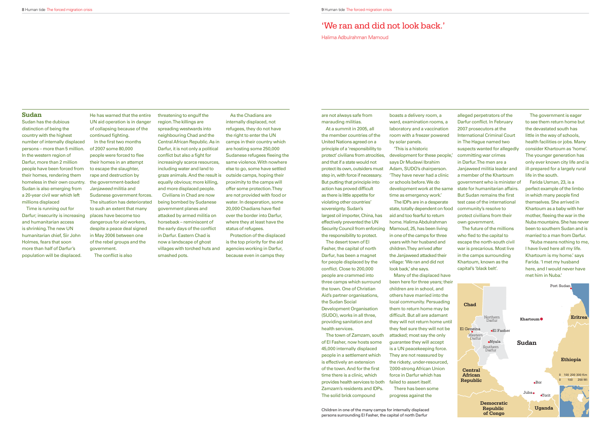are not always safe from marauding militias.

At a summit in 2005, all the member countries of the United Nations agreed on a principle of a 'responsibility to protect' civilians from atrocities, and that if a state would not protect its own, outsiders must step in, with force if necessary. But putting that principle into action has proved difficult as there is little appetite for violating other countries' sovereignty. Sudan's largest oil importer, China, has effectively prevented the UN Security Council from enforcing the responsibility to protect.

The desert town of El Fasher, the capital of north Darfur, has been a magnet for people displaced by the conflict. Close to 200,000 people are crammed into three camps which surround the town. One of Christian Aid's partner organisations, the Sudan Social Development Organisation (SUDO), works in all three, providing sanitation and health services.

The town of Zamzam, south of El Fasher, now hosts some 45,000 internally displaced people in a settlement which is effectively an extension of the town. And for the first time there is a clinic, which provides health services to both Zamzam's residents and IDPs. The solid brick compound

boasts a delivery room, a ward, examination rooms, a laboratory and a vaccination room with a freezer powered by solar panels.

'This is a historic development for these people,' says Dr Mudawi Ibrahim Adam, SUDO's chairperson. 'They have never had a clinic or schools before. We do development work at the same time as emergency work.'

The IDPs are in a desperate state, totally dependent on food aid and too fearful to return home. Halima Abdulrahman Mamoud, 25, has been living in one of the camps for three years with her husband and children. They arrived after the Janjaweed attacked their village: 'We ran and did not look back,' she says.

Many of the displaced have been here for three years; their children are in school, and others have married into the local community. Persuading them to return home may be difficult. But all are adamant they will not return home until they feel sure they will not be attacked; most say the only guarantee they will accept is a UN peacekeeping force. They are not reassured by the rickety, under-resourced, 7,000-strong African Union force in Darfur which has failed to assert itself.

He has warned that the entire UN aid operation is in danger of collapsing because of the continued fighting.

> There has been some progress against the

alleged perpetrators of the Darfur conflict. In February 2007 prosecutors at the International Criminal Court in The Hague named two suspects wanted for allegedly committing war crimes in Darfur. The men are a Janjaweed militia leader and a member of the Khartoum government who is minister of state for humanitarian affairs. But Sudan remains the first test case of the international community's resolve to protect civilians from their own government.

In the first two months of 2007 some 80,000 people were forced to flee their homes in an attempt to escape the slaughter, rape and destruction by the government-backed Janjaweed militia and Sudanese government forces. The situation has deteriorated to such an extent that many places have become too dangerous for aid workers, despite a peace deal signed in May 2006 between one of the rebel groups and the government.

The conflict is also

The future of the millions who fled to the capital to escape the north-south civil war is precarious. Most live in the camps surrounding Khartoum, known as the capital's 'black belt'.

The government is eager to see them return home but the devastated south has little in the way of schools, health facilities or jobs. Many consider Khartoum as 'home'. The younger generation has only ever known city life and is ill-prepared for a largely rural life in the south.

Farida Usman, 23, is a perfect example of the limbo in which many people find themselves. She arrived in Khartoum as a baby with her mother, fleeing the war in the Nuba mountains. She has never been to southern Sudan and is married to a man from Darfur.

'Nuba means nothing to me, I have lived here all my life. Khartoum is my home.' says Farida. 'I met my husband here, and I would never have met him in Nuba.'



Children in one of the many camps for internally displaced persons surrounding El Fasher, the capital of north Darfur

## 'We ran and did not look back.'

Halima Adbulrahman Mamoud

#### **Sudan**

Sudan has the dubious distinction of being the country with the highest number of internally displaced persons – more than 5 million. In the western region of Darfur, more than 2 million people have been forced from their homes, rendering them homeless in their own country. Sudan is also emerging from a 20-year civil war which left millions displaced

Time is running out for Darfur; insecurity is increasing and humanitarian access is shrinking. The new UN humanitarian chief, Sir John Holmes, fears that soon more than half of Darfur's population will be displaced.

threatening to engulf the region. The killings are spreading westwards into neighbouring Chad and the Central African Republic. As in Darfur, it is not only a political conflict but also a fight for increasingly scarce resources, including water and land to graze animals. And the result is equally obvious; more killing, and more displaced people.

Civilians in Chad are now being bombed by Sudanese government planes and attacked by armed militia on horseback – reminiscent of the early days of the conflict in Darfur. Eastern Chad is now a landscape of ghost villages with torched huts and smashed pots.

As the Chadians are internally displaced, not refugees, they do not have the right to enter the UN camps in their country which are hosting some 250,000 Sudanese refugees fleeing the same violence. With nowhere else to go, some have settled outside camps, hoping their proximity to the camps will offer some protection. They are not provided with food or water. In desperation, some 20,000 Chadians have fled over the border into Darfur, where they at least have the status of refugees.

Protection of the displaced is the top priority for the aid agencies working in Darfur, because even in camps they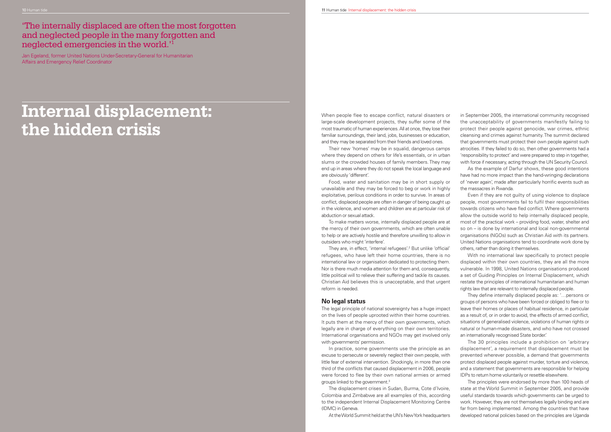When people flee to escape conflict, natural disasters or large-scale development projects, they suffer some of the most traumatic of human experiences. All at once, they lose their familiar surroundings, their land, jobs, businesses or education, and they may be separated from their friends and loved ones.

Their new 'homes' may be in squalid, dangerous camps where they depend on others for life's essentials, or in urban slums or the crowded houses of family members. They may end up in areas where they do not speak the local language and are obviously 'different'.

They are, in effect, 'internal refugees'.<sup>2</sup> But unlike 'official' refugees, who have left their home countries, there is no international law or organisation dedicated to protecting them. Nor is there much media attention for them and, consequently, little political will to relieve their suffering and tackle its causes. Christian Aid believes this is unacceptable, and that urgent reform is needed.

Food, water and sanitation may be in short supply or unavailable and they may be forced to beg or work in highly exploitative, perilous conditions in order to survive. In areas of conflict, displaced people are often in danger of being caught up in the violence, and women and children are at particular risk of abduction or sexual attack.

To make matters worse, internally displaced people are at the mercy of their own governments, which are often unable to help or are actively hostile and therefore unwilling to allow in outsiders who might 'interfere'.

#### **No legal status**

The legal principle of national sovereignty has a huge impact on the lives of people uprooted within their home countries. It puts them at the mercy of their own governments, which legally are in charge of everything on their own territories. International organisations and NGOs may get involved only with governments' permission.

In practice, some governments use the principle as an excuse to persecute or severely neglect their own people, with little fear of external intervention. Shockingly, in more than one third of the conflicts that caused displacement in 2006, people were forced to flee by their own national armies or armed groups linked to the government.3

They define internally displaced people as: '... persons or groups of persons who have been forced or obliged to flee or to leave their homes or places of habitual residence, in particular as a result of, or in order to avoid, the effects of armed conflict, situations of generalised violence, violations of human rights or natural or human-made disasters, and who have not crossed an internationally recognised State border.'

The displacement crises in Sudan, Burma, Cote d'Ivoire, Colombia and Zimbabwe are all examples of this, according to the independent Internal Displacement Monitoring Centre (IDMC) in Geneva.

At the World Summit held at the UN's New York headquarters

in September 2005, the international community recognised the unacceptability of governments manifestly failing to protect their people against genocide, war crimes, ethnic cleansing and crimes against humanity. The summit declared that governments must protect their own people against such atrocities. If they failed to do so, then other governments had a 'responsibility to protect' and were prepared to step in together, with force if necessary, acting through the UN Security Council.

As the example of Darfur shows, these good intentions have had no more impact than the hand-wringing declarations of 'never again', made after particularly horrific events such as the massacres in Rwanda.

Even if they are not guilty of using violence to displace people, most governments fail to fulfil their responsibilities towards citizens who have fled conflict. Where governments allow the outside world to help internally displaced people, most of the practical work – providing food, water, shelter and so on – is done by international and local non-governmental organisations (NGOs) such as Christian Aid with its partners. United Nations organisations tend to coordinate work done by others, rather than doing it themselves.

With no international law specifically to protect people displaced within their own countries, they are all the more vulnerable. In 1998, United Nations organisations produced a set of Guiding Principles on Internal Displacement, which restate the principles of international humanitarian and human rights law that are relevant to internally displaced people.

The 30 principles include a prohibition on 'arbitrary displacement', a requirement that displacement must be prevented wherever possible, a demand that governments protect displaced people against murder, torture and violence, and a statement that governments are responsible for helping IDPs to return home voluntarily or resettle elsewhere.

The principles were endorsed by more than 100 heads of state at the World Summit in September 2005, and provide useful standards towards which governments can be urged to work. However, they are not themselves legally binding and are far from being implemented. Among the countries that have developed national policies based on the principles are Uganda

'The internally displaced are often the most forgotten and neglected people in the many forgotten and neglected emergencies in the world.'1

Jan Egeland, former United Nations Under-Secretary-General for Humanitarian Affairs and Emergency Relief Coordinator

## **Internal displacement: the hidden crisis**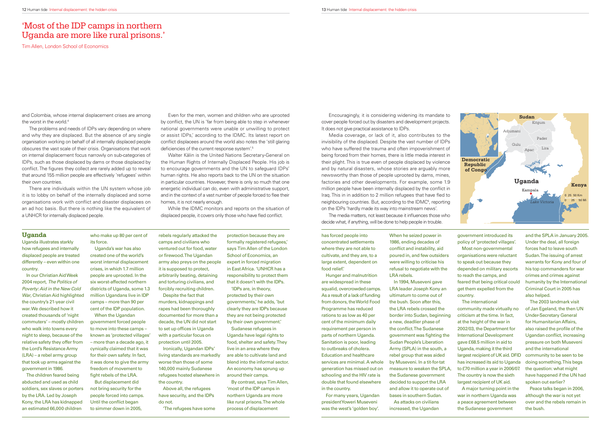Encouragingly, it is considering widening its mandate to cover people forced out by disasters and development projects. It does not give practical assistance to IDPs.

The media matters, not least because it influences those who decide what, if anything, will be done to help people in trouble.

Media coverage, or lack of it, also contributes to the invisibility of the displaced. Despite the vast number of IDPs who have suffered the trauma and often impoverishment of being forced from their homes, there is little media interest in their plight. This is true even of people displaced by violence and by natural disasters, whose stories are arguably more newsworthy than those of people uprooted by dams, mines, factories and other developments. For example, some 1.9 million people have been internally displaced by the conflict in Irag. This in in addition to 2 million refugees that have fled to neighbouring countries. But, according to the IDMC<sup>6</sup>, reporting on the IDPs 'hardly made its way into mainstream news'.

has forced people into concentrated settlements where they are not able to cultivate, and they are, to a large extent, dependent on food relief.'

Hunger and malnutrition are widespread in these squalid, overcrowded camps. As a result of a lack of funding from donors, the World Food Programme has reduced rations to as low as 40 per cent of the minimum daily requirement per person in parts of northern Uganda. Sanitation is poor, leading to outbreaks of cholera. Education and healthcare services are minimal. A whole generation has missed out on schooling and the HIV rate is double that found elsewhere in the country.

For many years, Ugandan president Yoweri Museveni was the west's 'golden boy'.

When he seized power in 1986, ending decades of conflict and instability, aid poured in, and few outsiders were willing to criticise his refusal to negotiate with the LRA rebels.

and Colombia, whose internal displacement crises are among the worst in the world.<sup>4</sup>

> In 1994, Museveni gave LRA leader Joseph Kony an ultimatum to come out of the bush. Soon after this, the LRA rebels crossed the border into Sudan, beginning a new, deadlier phase of the conflict.The Sudanese government was fighting the Sudan People's Liberation Army (SPLA) in the south, a rebel group that was aided by Museveni. In a tit-for-tat measure to weaken the SPLA, the Sudanese government decided to support the LRA and allow it to operate out of bases in southern Sudan.

As attacks on civilians increased, the Ugandan

Even for the men, women and children who are uprooted by conflict, the UN is 'far from being able to step in whenever national governments were unable or unwilling to protect or assist IDPs,' according to the IDMC. Its latest report on conflict displacees around the world also notes the 'still glaring deficiencies of the current response system'.<sup>5</sup>

> government introduced its policy of 'protected villages'. Most non-governmental organisations were reluctant to speak out because they depended on military escorts to reach the camps, and feared that being critical could get them expelled from the country.

While the IDMC monitors and reports on the situation of displaced people, it covers only those who have fled conflict.

> The international community made virtually no criticism at the time. In fact, at the height of the war in 2002/03, the Department for International Development gave £68.5 million in aid to Uganda, making it the third largest recipient of UK aid. DFID has increased its aid to Uganda to £70 million a year in 2006/07. The country is now the sixth largest recipient of UK aid. A major turning point in the war in northern Uganda was a peace agreement between the Sudanese government

and the SPLA in January 2005. Under the deal, all foreign forces had to leave south Sudan. The issuing of arrest warrants for Kony and four of his top commanders for war crimes and crimes against humanity by the International Criminal Court in 2005 has also helped.

When the Ugandan government forced people to move into these camps – known as 'protected villages' – more than a decade ago, it cynically claimed that it was for their own safety. In fact, it was done to give the army freedom of movement to fight rebels of the LRA.

The 2003 landmark visit of Jan Egeland, the then UN Under-Secretary General for Humanitarian Affairs, also raised the profile of the Ugandan conflict, increasing pressure on both Museveni and the international community to be seen to be doing something. This begs the question: what might have happened if the UN had spoken out earlier?

Peace talks began in 2006, although the war is not yet over and the rebels remain in the bush.



The problems and needs of IDPs vary depending on where and why they are displaced. But the absence of any single organisation working on behalf of all internally displaced people obscures the vast scale of their crisis. Organisations that work on internal displacement focus narrowly on sub-categories of IDPs, such as those displaced by dams or those displaced by conflict. The figures they collect are rarely added up to reveal that around 155 million people are effectively 'refugees' within their own countries.

There are individuals within the UN system whose job it is to lobby on behalf of the internally displaced and some organisations work with conflict and disaster displacees on an ad hoc basis. But there is nothing like the equivalent of a UNHCR for internally displaced people.

Walter Kälin is the United Nations Secretary-General on the Human Rights of Internally Displaced People. His job is to encourage governments and the UN to safeguard IDPs' human rights. He also reports back to the UN on the situation in particular countries. However, there is only so much that one energetic individual can do, even with administrative support, and in the context of a vast number of people forced to flee their homes, it is not nearly enough.

### **Uganda**

Uganda illustrates starkly how refugees and internally displaced people are treated differently – even within one country.

In our Christian Aid Week 2004 report, The Politics of Poverty: Aid in the New Cold War, Christian Aid highlighted the country's 21-year civil war. We described how it created thousands of 'night commuters' – mostly children who walk into towns every night to sleep, because of the relative safety they offer from the Lord's Resistance Army (LRA) – a rebel army group that took up arms against the government in 1986.

The children feared being abducted and used as child soldiers, sex slaves or porters by the LRA. Led by Joseph Kony, the LRA has kidnapped an estimated 66,000 children

who make up 80 per cent of its force.

Uganda's war has also created one of the world's worst internal displacement crises, in which 1.7 million people are uprooted. In the six worst-affected northern districts of Uganda, some 1.3 million Ugandans live in IDP camps – more than 90 per cent of the IDP population.

But displacement did not bring security for the people forced into camps. Until the conflict began to simmer down in 2005,

rebels regularly attacked the camps and civilians who ventured out for food, water or firewood. The Ugandan army also preys on the people it is supposed to protect, arbitrarily beating, detaining and torturing civilians, and forcibly recruiting children.

Despite the fact that murders, kidnappings and rapes had been thoroughly documented for more than a decade, the UN did not start to set up offices in Uganda with a particular focus on protection until 2005.

Ironically, Ugandan IDPs' living standards are markedly worse than those of some 140,000 mainly Sudanese refugees hosted elsewhere in the country.

Above all, the refugees have security, and the IDPs do not.

'The refugees have some

protection because they are formally registered refugees,' says Tim Allen of the London School of Economics, an expert in forced migration in East Africa. 'UNHCR has a responsibility to protect them that it doesn't with the IDPs. 'IDPs are, in theory,

protected by their own governments,' he adds, 'but clearly they are IDPs because they are not being protected by their own government.'

Sudanese refugees in Uganda have legal rights to food, shelter and safety. They live in an area where they are able to cultivate land and blend into the informal sector. An economy has sprung up around their camps.

By contrast, says Tim Allen, 'most of the IDP camps in northern Uganda are more like rural prisons. The whole process of displacement

### 'Most of the IDP camps in northern Uganda are more like rural prisons.'

Tim Allen, London School of Economics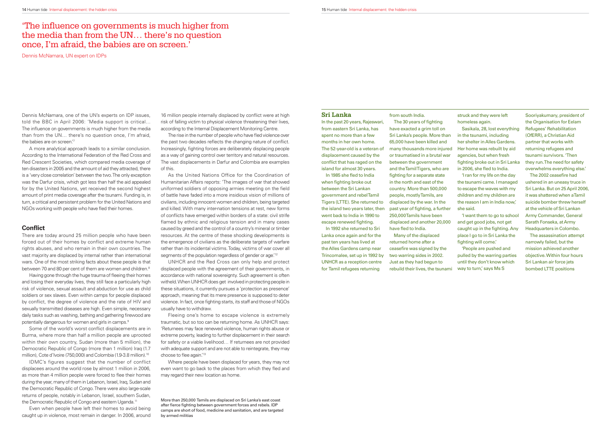#### **Sri Lanka**

In the past 20 years, Rajeswari, from eastern Sri Lanka, has spent no more than a few months in her own home. The 52-year-old is a veteran of displacement caused by the conflict that has raged on the island for almost 30 years.

In 1985 she fled to India when fighting broke out between the Sri Lankan government and rebel Tamil Tigers (LTTE). She returned to the island two years later, then went back to India in 1990 to escape renewed fighting.

from south India. The 30 years of fighting

have exacted a grim toll on Sri Lanka's people. More than 65,000 have been killed and many thousands more injured or traumatised in a brutal war between the government and the Tamil Tigers, who are fighting for a separate state in the north and east of the country. More than 500,000 people, mostly Tamils, are displaced by the war. In the past year of fighting, a further 250,000 Tamils have been displaced and another 20,000 have fled to India.

In 1992 she returned to Sri Lanka once again and for the past ten years has lived at the Alles Gardens camp near Trincomalee, set up in 1992 by UNHCR as a reception centre for Tamil refugees returning

ceasefire was signed by the two warring sides in 2002. Just as they had begun to rebuild their lives, the tsunami

Sasikala, 28, lost everything in the tsunami, including her shelter in Alles Gardens. Her home was rebuilt by aid agencies, but when fresh fighting broke out in Sri Lanka in 2006, she fled to India.

'I want them to go to school and get good jobs, not get caught up in the fighting. Any place I go to in Sri Lanka the fighting will come.'

Many of the displaced returned home after a

The 2002 ceasefire had ushered in an uneasy truce in Sri Lanka. But on 25 April 2006, it was shattered when a Tamil suicide bomber threw herself at the vehicle of Sri Lankan Army Commander, General Sarath Fonseka, at Army Headquarters in Colombo.

struck and they were left homeless again.

A more analytical approach leads to a similar conclusion. According to the International Federation of the Red Cross and Red Crescent Societies, which compared media coverage of ten disasters in 2005 and the amount of aid they attracted, there is a 'very close correlation' between the two. The only exception was the Darfur crisis, which got less than half the aid appealed for by the United Nations, yet received the second highest amount of print media coverage after the tsunami. Funding is, in turn, a critical and persistent problem for the United Nations and NGOs working with people who have fled their homes.

#### **Conflict**

'I ran for my life on the day the tsunami came. I managed to escape the waves with my children and my children are the reason I am in India now,' she said.

There are today around 25 million people who have been forced out of their homes by conflict and extreme human rights abuses, and who remain in their own countries. The vast majority are displaced by internal rather than international wars. One of the most striking facts about these people is that between 70 and 80 per cent of them are women and children.<sup>8</sup>

Having gone through the huge trauma of fleeing their homes and losing their everyday lives, they still face a particularly high risk of violence, sexual assault and abduction for use as child soldiers or sex slaves. Even within camps for people displaced by conflict, the degree of violence and the rate of HIV and sexually transmitted diseases are high. Even simple, necessary daily tasks such as washing, bathing and gathering firewood are potentially dangerous for women and girls in camps.<sup>9</sup>

'People are pushed and pulled by the warring parties until they don't know which way to turn,' says Ms S

Sooriyakumary, president of the Organisation for Eelam Refugees' Rehabilitation (OfERR), a Christian Aid partner that works with returning refugees and tsunami survivors. 'Then they run. The need for safety overwhelms everything else.'

Some of the world's worst conflict displacements are in Burma, where more than half a million people are uprooted within their own country, Sudan (more than 5 million), the Democratic Republic of Congo (more than 1 million) Iraq (1.7 million), Cote d'Ivoire (750,000) and Colombia (1.9-3.8 million).<sup>10</sup>

IDMC's figures suggest that the number of conflict displacees around the world rose by almost 1 million in 2006, as more than 4 million people were forced to flee their homes during the year, many of them in Lebanon, Israel, Iraq, Sudan and the Democratic Republic of Congo. There were also large-scale returns of people, notably in Lebanon, Israel, southern Sudan, the Democratic Republic of Congo and eastern Uganda.<sup>11</sup>

The assassination attempt narrowly failed, but the mission achieved another objective. Within four hours Sri Lankan air force jets bombed LTTE positions

16 million people internally displaced by conflict were at high risk of falling victim to physical violence threatening their lives, according to the Internal Displacement Monitoring Centre.

Dennis McNamara, one of the UN's experts on IDP issues, told the BBC in April 2006: 'Media support is critical… The influence on governments is much higher from the media than from the UN… there's no question once, I'm afraid, the babies are on screen.'7

The rise in the number of people who have fled violence over the past two decades reflects the changing nature of conflict. Increasingly, fighting forces are deliberately displacing people as a way of gaining control over territory and natural resources. The vast displacements in Darfur and Colombia are examples of this.

As the United Nations Office for the Coordination of Humanitarian Affairs reports: 'The images of war that showed uniformed soldiers of opposing armies meeting on the field of battle have faded into a more insidious vision of millions of civilians, including innocent women and children, being targeted and killed. With many inter-nation tensions at rest, new forms of conflicts have emerged within borders of a state: civil strife flamed by ethnic and religious tension and in many cases caused by greed and the control of a country's mineral or timber resources. At the centre of these shocking developments is the emergence of civilians as the deliberate targets of warfare rather than its incidental victims. Today, victims of war cover all segments of the population regardless of gender or age.<sup>'12</sup>

Fleeing one's home to escape violence is extremely traumatic, but so too can be returning home. As UNHCR says: 'Returnees may face renewed violence, human rights abuse or extreme poverty, leading to further displacement in their search for safety or a viable livelihood… If returnees are not provided with adequate support and are not able to reintegrate, they may choose to flee again.'<sup>13</sup>

## 'The influence on governments is much higher from the media than from the UN… there's no question once, I'm afraid, the babies are on screen.'

Even when people have left their homes to avoid being caught up in violence, most remain in danger. In 2006, around

UNHCR and the Red Cross can only help and protect displaced people with the agreement of their governments, in accordance with national sovereignty. Such agreement is often witheld. When UNHCR does get involved in protecting people in these situations, it currently pursues a 'protection as presence' approach, meaning that its mere presence is supposed to deter violence. In fact, once fighting starts, its staff and those of NGOs usually have to withdraw.

Where people have been displaced for years, they may not even want to go back to the places from which they fled and may regard their new location as home.

Dennis McNamara, UN expert on IDPs

More than 250,000 Tamils are displaced on Sri Lanka's east coast after fierce fighting between government forces and rebels. IDP camps are short of food, medicine and sanitation, and are targeted by armed militias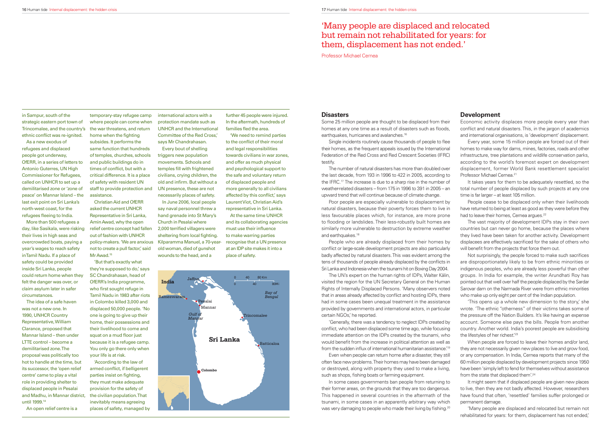Some 25 million people are thought to be displaced from their homes at any one time as a result of disasters such as floods, earthquakes, hurricanes and avalanches.<sup>16</sup>

#### **Disasters**

Single incidents routinely cause thousands of people to flee their homes, as the frequent appeals issued by the International Federation of the Red Cross and Red Crescent Societies (IFRC) testify.

Poor people are especially vulnerable to displacement by natural disasters, because their poverty forces them to live in less favourable places which, for instance, are more prone to flooding or landslides. Their less-robustly built homes are similarly more vulnerable to destruction by extreme weather and earthquakes.<sup>18</sup>

The number of natural disasters has more than doubled over the last decade, from 193 in 1996 to 422 in 2005, according to the IFRC.<sup>17</sup> The increase is due to a sharp rise in the number of weather-related disasters – from 175 in 1996 to 391 in 2005 – an upward trend that will continue because of climate change.

'Generally, there was a tendency to neglect IDPs created by conflict, who had been displaced some time ago, while focusing immediate attention on the IDPs created by the tsunami, who would benefit from the increase in political attention as well as from the sudden influx of international humanitarian assistance.<sup>'19</sup>

Even when people can return home after a disaster, they still often face new problems. Their homes may have been damaged or destroyed, along with property they used to make a living, such as shops, fishing boats or farming equipment.

In some cases governments ban people from returning to their former areas, on the grounds that they are too dangerous. This happened in several countries in the aftermath of the tsunami, in some cases in an apparently arbitrary way which was very damaging to people who made their living by fishing.<sup>20</sup>

People who are already displaced from their homes by conflict or large-scale development projects are also particularly badly affected by natural disasters. This was evident among the tens of thousands of people already displaced by the conflicts in Sri Lanka and Indonesia when the tsunami hit on Boxing Day 2004.

The UN's expert on the human rights of IDPs, Walter Kälin, visited the region for the UN Secretary General on the Human Rights of Internally Displaced Persons. 'Many observers noted that in areas already affected by conflict and hosting IDPs, there had in some cases been unequal treatment in the assistance provided by governments and international actors, in particular certain NGOs,' he reported.

It takes years for them to be adequately resettled, so the total number of people displaced by such projects at any one time is far larger – at least 105 million.

People cease to be displaced only when their livelihoods have returned to being at least as good as they were before they had to leave their homes, Cernea argues.<sup>22</sup>

The vast majority of development IDPs stay in their own countries but can never go home, because the places where they lived have been taken for another activity. Development displacees are effectively sacrificed for the sake of others who will benefit from the projects that force them out.

Not surprisingly, the people forced to make such sacrifices are disproportionately likely to be from ethnic minorities or indigenous peoples, who are already less powerful than other groups. In India for example, the writer Arundhati Roy has pointed out that well over half the people displaced by the Sardar Sarovar dam on the Narmada River were from ethnic minorities who make up only eight per cent of the Indian population.

'This opens up a whole new dimension to the story,' she wrote. 'The ethnic "otherness" of their victims takes some of the pressure off the Nation Builders. It's like having an expense account. Someone else pays the bills. People from another country. Another world. India's poorest people are subsidising the lifestyles of her richest.<sup>'23</sup>

When people are forced to leave their homes and/or land, they are not necessarily given new places to live and grow food, or any compensation. In India, Cernea reports that many of the 60 million people displaced by development projects since 1950 have been 'simply left to fend for themselves without assistance from the state that displaced them'.<sup>24</sup>

#### **Development**

in Sampur, south of the strategic eastern port town of Trincomalee, and the country's ethnic conflict was re-ignited.

As a new exodus of refugees and displaced people got underway, OfERR, in a series of letters to Antonio Guterres, UN High Commissioner for Refugees, called on UNHCR to set up a demilitarised zone or 'zone of peace' on Mannar Island – the last exit point on Sri Lanka's north-west coast, for the refugees fleeing to India.

Economic activity displaces more people every year than conflict and natural disasters. This, in the jargon of academics and international organisations, is 'development' displacement. Every year, some 15 million people are forced out of their homes to make way for dams, mines, factories, roads and other infrastructure, tree plantations and wildlife conservation parks, according to the world's foremost expert on development displacement, former World Bank resettlement specialist Professor Michael Cernea.21

Christian Aid and OfERR asked the current UNHCR Representative in Sri Lanka, Amin Awad, why the open relief centre concept had fallen out of fashion with UNHCR policy-makers. 'We are anxious not to create a pull factor,' said Mr Awad.<sup>15</sup>

further 45 people were injured. In the aftermath, hundreds of families fled the area.

> It might seem that if displaced people are given new places to live, then they are not badly affected. However, researchers have found that often, 'resettled' families suffer prolonged or permanent damage.

> 'Many people are displaced and relocated but remain not rehabilitated for years: for them, displacement has not ended,'

## 'Many people are displaced and relocated but remain not rehabilitated for years: for them, displacement has not ended.'

Professor Michael Cernea

More than 500 refugees a day, like Sasikala, were risking their lives in high seas and overcrowded boats, paying a year's wages to reach safety in Tamil Nadu. If a place of safety could be provided inside Sri Lanka, people could return home when they felt the danger was over, or claim asylum later in safer circumstances.

 The idea of a safe haven was not a new one. In 1990, UNHCR Country Representative, William Clarance, proposed that Mannar Island – then under LTTE control – become a demilitarised zone. The proposal was politically too hot to handle at the time, but its successor, the 'open relief centre' came to play a vital role in providing shelter to displaced people in Pesalai and Madhu, in Mannar district, the civilian population. That until 1999.14

An open relief centre is a

temporary-stay refugee camp where people can come when the war threatens, and return home when the fighting subsides. It performs the same function that hundreds of temples, churches, schools and public buildings do in times of conflict, but with a critical difference. It is a place of safety with resident UN staff to provide protection and assistance.

'But that's exactly what they're supposed to do,' says SC Chandrahasan, head of OfERR's India programme, who first sought refuge in Tamil Nadu in 1983 after riots in Colombo killed 3,000 and displaced 50,000 people. 'No one is going to give up their home, their possessions and their livelihood to come and squat on a mud floor just because it is a refugee camp. You only go there only when your life is at risk.

'According to the law of armed conflict, if belligerent parties insist on fighting, they must make adequate provision for the safety of inevitably means agreeing places of safety, managed by

international actors with a protection mandate such as UNHCR and the International Committee of the Red Cross,' says Mr Chandrahasan.

Every bout of shelling triggers new population movements. Schools and temples fill with frightened civilians, crying children, the old and infirm. But without a UN presence, these are not necessarily places of safety.

In June 2006, local people say naval personnel threw a hand grenade into St Mary's Church in Pesalai where 2,000 terrified villagers were sheltering from local fighting. Kilparamma Manuel, a 70-yearold woman, died of gunshot wounds to the head, and a

'We need to remind parties to the conflict of their moral and legal responsibilities towards civilians in war zones, and offer as much physical and psychological support to the safe and voluntary return of displaced people and more generally to all civilians affected by this conflict,' says Laurent Viot, Christian Aid's representative in Sri Lanka. At the same time UNHCR

and its collaborating agencies must use their influence to make warring parties recognise that a UN presence at an IDP site makes it into a place of safety.

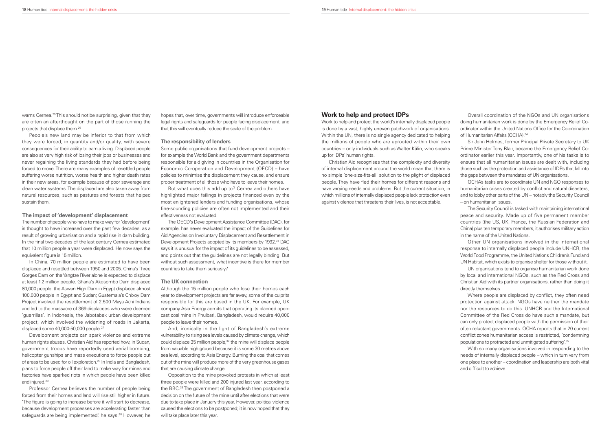#### **Work to help and protect IDPs**

Work to help and protect the world's internally displaced people is done by a vast, highly uneven patchwork of organisations. Within the UN, there is no single agency dedicated to helping the millions of people who are uprooted within their own countries – only individuals such as Walter Kälin, who speaks up for IDPs' human rights.

Overall coordination of the NGOs and UN organisations doing humanitarian work is done by the Emergency Relief Coordinator within the United Nations Office for the Co-ordination of Humanitarian Affairs (OCHA).<sup>34</sup>

Christian Aid recognises that the complexity and diversity of internal displacement around the world mean that there is no simple 'one-size-fi ts-all' solution to the plight of displaced people. They have fled their homes for different reasons and have varying needs and problems. But the current situation, in which millions of internally displaced people lack protection even against violence that threatens their lives, is not acceptable.

Sir John Holmes, former Principal Private Secretary to UK Prime Minister Tony Blair, became the Emergency Relief Coordinator earlier this year. Importantly, one of his tasks is to ensure that all humanitarian issues are dealt with, including those such as the protection and assistance of IDPs that fall into the gaps between the mandates of UN organisations.

With so many organisations involved in responding to the needs of internally displaced people – which in turn vary from one place to another – coordination and leadership are both vital and difficult to achieve.

OCHA's tasks are to coordinate UN and NGO responses to humanitarian crises created by conflict and natural disasters. and to lobby other parts of the UN – notably the Security Council – on humanitarian issues.

warns Cernea.<sup>25</sup> This should not be surprising, given that they are often an afterthought on the part of those running the projects that displace them.26

> The Security Council is tasked with maintaining international peace and security. Made up of five permanent member countries (the US, UK, France, the Russian Federation and China) plus ten temporary members, it authorises military action in the name of the United Nations.

The number of people who have to make way for 'development' is thought to have increased over the past few decades, as a result of growing urbanisation and a rapid rise in dam building. In the final two decades of the last century Cernea estimated that 10 million people a year were displaced. He now says the equivalent figure is 15 million.

Other UN organisations involved in the international response to internally displaced people include UNHCR, the World Food Programme, the United Nations Children's Fund and UN Habitat, which exists to organise shelter for those without it.

In China, 70 million people are estimated to have been displaced and resettled between 1950 and 2005. China's Three Gorges Dam on the Yangtze River alone is expected to displace at least 1.2 million people. Ghana's Akosombo Dam displaced 80,000 people; the Aswan High Dam in Egypt displaced almost 100,000 people in Egypt and Sudan; Guatemala's Chixoy Dam Project involved the resettlement of 2,500 Maya Achi Indians and led to the massacre of 369 displacees who were deemed 'guerrillas'. In Indonesia, the Jabotabek urban development project, which involved the widening of roads in Jakarta, displaced some 40,000-50,000 people.<sup>27</sup>

UN organisations tend to organise humanitarian work done by local and international NGOs, such as the Red Cross and Christian Aid with its partner organisations, rather than doing it directly themselves.

Where people are displaced by conflict, they often need protection against attack. NGOs have neither the mandate nor the resources to do this. UNHCR and the International Committee of the Red Cross do have such a mandate, but can only protect displaced people with the permission of their often reluctant governments. OCHA reports that in 20 current conflict zones humanitarian access is restricted, 'condemning populations to protracted and unmitigated suffering'.35

Professor Cernea believes the number of people being forced from their homes and land will rise still higher in future. 'The figure is going to increase before it will start to decrease, because development processes are accelerating faster than safeguards are being implemented,' he says.<sup>30</sup> However, he

People's new land may be inferior to that from which they were forced, in quantity and/or quality, with severe consequences for their ability to earn a living. Displaced people are also at very high risk of losing their jobs or businesses and never regaining the living standards they had before being forced to move. There are many examples of resettled people suffering worse nutrition, worse health and higher death rates in their new areas, for example because of poor sewerage and clean water systems. The displaced are also taken away from natural resources, such as pastures and forests that helped sustain them.

#### **The impact of 'development' displacement**

Development projects can spark violence and extreme human rights abuses. Christian Aid has reported how, in Sudan, government troops have reportedly used aerial bombing, helicopter gunships and mass executions to force people out of areas to be used for oil exploration.28 In India and Bangladesh, plans to force people off their land to make way for mines and factories have sparked riots in which people have been killed and injured.29

hopes that, over time, governments will introduce enforceable legal rights and safeguards for people facing displacement, and that this will eventually reduce the scale of the problem.

#### **The responsibility of lenders**

Some public organisations that fund development projects – for example the World Bank and the government departments responsible for aid giving in countries in the Organisation for Economic Co-operation and Development (OECD) – have policies to minimise the displacement they cause, and ensure proper treatment of all those who have to leave their homes.

But what does this add up to? Cernea and others have highlighted major failings in projects financed even by the most enlightened lenders and funding organisations, whose fine-sounding policies are often not implemented and their effectiveness not evaluated.

The OECD's Development Assistance Committee (DAC), for example, has never evaluated the impact of the Guidelines for Aid Agencies on Involuntary Displacement and Resettlement in Development Projects adopted by its members by 1992.<sup>31</sup> DAC says it is unusual for the impact of its guidelines to be assessed, and points out that the guidelines are not legally binding. But without such assessment, what incentive is there for member countries to take them seriously?

#### **The UK connection**

Although the 15 million people who lose their homes each year to development projects are far away, some of the culprits responsible for this are based in the UK. For example, UK company Asia Energy admits that operating its planned opencast coal mine in Phulbari, Bangladesh, would require 40,000 people to leave their homes.

And, ironically in the light of Bangladesh's extreme vulnerability to rising sea levels caused by climate change, which could displace 35 million people,<sup>32</sup> the mine will displace people from valuable high ground because it is some 30 metres above sea level, according to Asia Energy. Burning the coal that comes out of the mine will produce more of the very greenhouse gases that are causing climate change.

Opposition to the mine provoked protests in which at least three people were killed and 200 injured last year, according to the BBC.33 The government of Bangladesh then postponed a decision on the future of the mine until after elections that were due to take place in January this year. However, political violence caused the elections to be postponed; it is now hoped that they will take place later this year.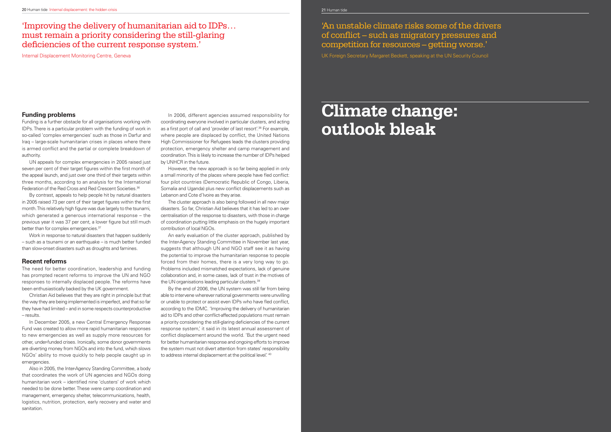## 'Improving the delivery of humanitarian aid to IDPs… must remain a priority considering the still-glaring deficiencies of the current response system.'

Internal Displacement Monitoring Centre, Geneva

By contrast, appeals to help people hit by natural disasters in 2005 raised 73 per cent of their target figures within the first month. This relatively high figure was due largely to the tsunami, which generated a generous international response – the previous year it was 37 per cent, a lower figure but still much better than for complex emergencies.<sup>37</sup>

#### **Funding problems**

Funding is a further obstacle for all organisations working with IDPs. There is a particular problem with the funding of work in so-called 'complex emergencies' such as those in Darfur and Iraq – large-scale humanitarian crises in places where there is armed conflict and the partial or complete breakdown of authority.

UN appeals for complex emergencies in 2005 raised just seven per cent of their target figures within the first month of the appeal launch, and just over one third of their targets within three months, according to an analysis for the International Federation of the Red Cross and Red Crescent Societies.36

Work in response to natural disasters that happen suddenly – such as a tsunami or an earthquake – is much better funded than slow-onset disasters such as droughts and famines.

#### **Recent reforms**

The need for better coordination, leadership and funding has prompted recent reforms to improve the UN and NGO responses to internally displaced people. The reforms have been enthusiastically backed by the UK government.

An early evaluation of the cluster approach, published by the Inter-Agency Standing Committee in November last year, suggests that although UN and NGO staff see it as having the potential to improve the humanitarian response to people forced from their homes, there is a very long way to go. Problems included mismatched expectations, lack of genuine collaboration and, in some cases, lack of trust in the motives of the UN organisations leading particular clusters.<sup>39</sup>

Christian Aid believes that they are right in principle but that the way they are being implemented is imperfect, and that so far they have had limited – and in some respects counterproductive – results.

By the end of 2006, the UN system was still far from being able to intervene wherever national governments were unwilling or unable to protect or assist even IDPs who have fled conflict, according to the IDMC. 'Improving the delivery of humanitarian aid to IDPs and other conflict-affected populations must remain a priority considering the still-glaring deficiencies of the current response system,' it said in its latest annual assessment of conflict displacement around the world. 'But the urgent need for better humanitarian response and ongoing efforts to improve the system must not divert attention from states' responsibility to address internal displacement at the political level.' 40

'An unstable climate risks some of the drivers of conflict – such as migratory pressures and  $\emph{competition for resources – getting worse.'}$ 

UK Foreign Secretary Margaret Beckett, speaking at the UN Security Council

In December 2005, a new Central Emergency Response Fund was created to allow more rapid humanitarian responses to new emergencies as well as supply more resources for other, under-funded crises. Ironically, some donor governments are diverting money from NGOs and into the fund, which slows NGOs' ability to move quickly to help people caught up in emergencies.

## **Manual Chapter Chapter Manual Chapter School 36 personal boundary Climate change: outlook bleak**

Also in 2005, the Inter-Agency Standing Committee, a body that coordinates the work of UN agencies and NGOs doing humanitarian work – identified nine 'clusters' of work which needed to be done better. These were camp coordination and management, emergency shelter, telecommunications, health, logistics, nutrition, protection, early recovery and water and sanitation.

In 2006, different agencies assumed responsibility for coordinating everyone involved in particular clusters, and acting as a first port of call and 'provider of last resort'.<sup>38</sup> For example, where people are displaced by conflict, the United Nations High Commissioner for Refugees leads the clusters providing protection, emergency shelter and camp management and coordination. This is likely to increase the number of IDPs helped by UNHCR in the future.

However, the new approach is so far being applied in only a small minority of the places where people have fled conflict: four pilot countries (Democratic Republic of Congo, Liberia, Somalia and Uganda) plus new conflict displacements such as Lebanon and Cote d'Ivoire as they arise.

The cluster approach is also being followed in all new major disasters. So far, Christian Aid believes that it has led to an overcentralisation of the response to disasters, with those in charge of coordination putting little emphasis on the hugely important contribution of local NGOs.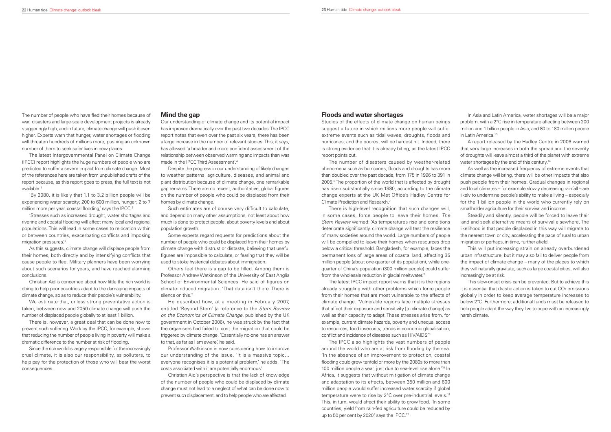The number of people who have fled their homes because of war, disasters and large-scale development projects is already staggeringly high, and in future, climate change will push it even higher. Experts warn that hunger, water shortages or flooding will threaten hundreds of millions more, pushing an unknown number of them to seek safer lives in new places.

'By 2080, it is likely that 1.1 to 3.2 billion people will be experiencing water scarcity; 200 to 600 million, hunger; 2 to 7 million more per year, coastal flooding, says the IPCC.<sup>2</sup>

The latest Intergovernmental Panel on Climate Change (IPCC) report highlights the huge numbers of people who are predicted to suffer a severe impact from climate change. Most of the references here are taken from unpublished drafts of the report because, as this report goes to press, the full text is not available.1

We estimate that, unless strong preventative action is taken, between now and 2050 climate change will push the number of displaced people globally to at least 1 billion.

There is, however, a great deal that can be done now to prevent such suffering. Work by the IPCC, for example, shows that reducing the number of people living in poverty will make a dramatic difference to the number at risk of flooding.

'Stresses such as increased drought, water shortages and riverine and coastal flooding will affect many local and regional populations. This will lead in some cases to relocation within or between countries, exacerbating conflicts and imposing migration pressures.'3

As this suggests, climate change will displace people from their homes, both directly and by intensifying conflicts that cause people to flee. Military planners have been worrying about such scenarios for years, and have reached alarming conclusions.

Christian Aid is concerned about how little the rich world is doing to help poor countries adapt to the damaging impacts of climate change, so as to reduce their people's vulnerability.

Others feel there is a gap to be filled. Among them is Professor Andrew Watkinson of the University of East Anglia School of Environmental Sciences. He said of figures on climate-induced migration: 'That data isn't there. There is silence on this.<sup>'5</sup>

He described how, at a meeting in February 2007, entitled 'Beyond Stern' (a reference to the Stern Review on the Economics of Climate Change, published by the UK government in October 2006), he was struck by the fact that the organisers had failed to cost the migration that could be triggered by climate change. 'Essentially no-one has an answer to that, as far as I am aware,' he said.

Since the rich world is largely responsible for the increasingly cruel climate, it is also our responsibility, as polluters, to help pay for the protection of those who will bear the worst consequences.

#### **Mind the gap**

Our understanding of climate change and its potential impact has improved dramatically over the past two decades. The IPCC report notes that even over the past six years, there has been a large increase in the number of relevant studies. This, it says, has allowed 'a broader and more confident assessment of the relationship between observed warming and impacts than was made in the IPCC Third Assessment'.4

Despite the progress in our understanding of likely changes to weather patterns, agriculture, diseases, and animal and plant distribution because of climate change, one remarkable gap remains. There are no recent, authoritative, global figures on the number of people who could be displaced from their homes by climate change.

Such estimates are of course very difficult to calculate, and depend on many other assumptions, not least about how much is done to protect people, about poverty levels and about population growth.

> The IPCC also highlights the vast numbers of people around the world who are at risk from flooding by the sea. 'In the absence of an improvement to protection, coastal flooding could grow tenfold or more by the 2080s to more than 100 million people a year, just due to sea-level rise alone.<sup>'10</sup> In Africa, it suggests that without mitigation of climate change and adaptation to its effects, between 350 million and 600 million people would suffer increased water scarcity if global temperature were to rise by 2°C over pre-industrial levels.<sup>11</sup> This, in turn, would affect their ability to grow food. 'In some countries, yield from rain-fed agriculture could be reduced by up to 50 per cent by 2020,' says the IPCC.<sup>12</sup>

Some experts regard requests for predictions about the number of people who could be displaced from their homes by climate change with distrust or distaste, believing that useful figures are impossible to calculate, or fearing that they will be used to stoke hysterical debates about immigration.

A report released by the Hadley Centre in 2006 warned that very large increases in both the spread and the severity of droughts will leave almost a third of the planet with extreme water shortages by the end of this century.<sup>14</sup>

Steadily and silently, people will be forced to leave their land and seek alternative means of survival elsewhere. The likelihood is that people displaced in this way will migrate to the nearest town or city, accelerating the pace of rural to urban migration or perhaps, in time, further afield.

Professor Watkinson is now considering how to improve our understanding of the issue. 'It is a massive topic… everyone recognises it is a potential problem,' he adds. 'The costs associated with it are potentially enormous.'

Christian Aid's perspective is that the lack of knowledge of the number of people who could be displaced by climate change must not lead to a neglect of what can be done now to prevent such displacement, and to help people who are affected.

#### **Floods and water shortages**

Studies of the effects of climate change on human beings suggest a future in which millions more people will suffer extreme events such as tidal waves, droughts, floods and hurricanes, and the poorest will be hardest hit. Indeed, there is strong evidence that it is already biting, as the latest IPCC report points out.

The number of disasters caused by weather-related phenomena such as hurricanes, floods and droughts has more than doubled over the past decade, from 175 in 1996 to 391 in 2005.<sup>6</sup> The proportion of the world that is affected by drought has risen substantially since 1980, according to the climate change experts at the UK Met Office's Hadley Centre for Climate Prediction and Research.7

There is high-level recognition that such changes will, in some cases, force people to leave their homes. The Stern Review warned: 'As temperatures rise and conditions deteriorate significantly, climate change will test the resilience of many societies around the world. Large numbers of people will be compelled to leave their homes when resources drop below a critical threshold. Bangladesh, for example, faces the permanent loss of large areas of coastal land, affecting 35 million people (about one-quarter of its population), while onequarter of China's population (300 million people) could suffer from the wholesale reduction in glacial meltwater.'8

In Asia and Latin America, water shortages will be a major problem, with a 2°C rise in temperature affecting between 200 million and 1 billion people in Asia, and 80 to 180 million people in Latin America.13

The latest IPCC impact report warns that it is the regions already struggling with other problems which force people from their homes that are most vulnerable to the effects of climate change: 'Vulnerable regions face multiple stresses that affect their exposure and sensitivity [to climate change] as well as their capacity to adapt. These stresses arise from, for example, current climate hazards, poverty and unequal access to resources, food insecurity, trends in economic globalisation, conflict and incidence of diseases such as HIV/AIDS.<sup>'9</sup> This slow-onset crisis can be prevented. But to achieve this it is essential that drastic action is taken to cut  $\mathsf{CO}_{2}$  emissions  $^{\mathsf{I}}$ globally in order to keep average temperature increases to below 2°C. Furthermore, additional funds must be released to help people adapt the way they live to cope with an increasingly harsh climate.

As well as the increased frequency of extreme events that climate change will bring, there will be other impacts that also push people from their homes. Gradual changes in regional and local climates – for example slowly decreasing rainfall – are likely to undermine people's ability to make a living – especially for the 1 billion people in the world who currently rely on smallholder agriculture for their survival and income.

This will put increasing strain on already overburdened urban infrastructure, but it may also fail to deliver people from the impact of climate change – many of the places to which they will naturally gravitate, such as large coastal cities, will also increasingly be at risk.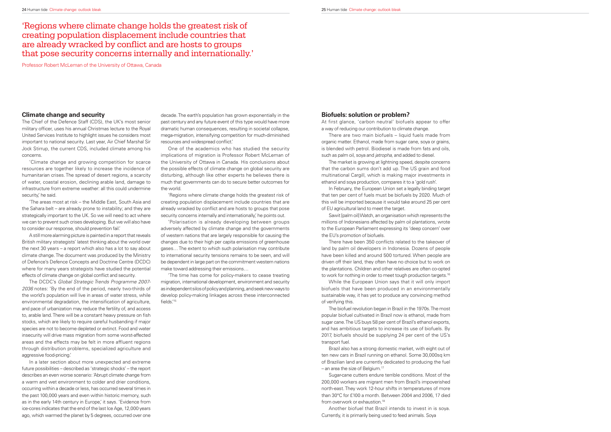#### **Climate change and security**

'Climate change and growing competition for scarce resources are together likely to increase the incidence of humanitarian crises. The spread of desert regions, a scarcity of water, coastal erosion, declining arable land, damage to infrastructure from extreme weather: all this could undermine security,' he said.

The Chief of the Defence Staff (CDS), the UK's most senior military officer, uses his annual Christmas lecture to the Royal United Services Institute to highlight issues he considers most important to national security. Last year, Air Chief Marshal Sir Jock Stirrup, the current CDS, included climate among his concerns.

A still more alarming picture is painted in a report that reveals British military strategists' latest thinking about the world over the next 30 years – a report which also has a lot to say about climate change. The document was produced by the Ministry of Defence's Defence Concepts and Doctrine Centre (DCDC) where for many years strategists have studied the potential effects of climate change on global conflict and security.

'The areas most at risk – the Middle East, South Asia and the Sahara belt – are already prone to instability; and they are strategically important to the UK. So we will need to act where we can to prevent such crises developing. But we will also have to consider our response, should prevention fail.'

decade. The earth's population has grown exponentially in the past century and any future event of this type would have more dramatic human consequences, resulting in societal collapse, mega-migration, intensifying competition for much-diminished resources and widespread conflict.

'Regions where climate change holds the greatest risk of creating population displacement include countries that are already wracked by conflict and are hosts to groups that pose security concerns internally and internationally, he points out.

The DCDC's Global Strategic Trends Programme 2007- 2036 notes: 'By the end of the period, nearly two-thirds of the world's population will live in areas of water stress, while environmental degradation, the intensification of agriculture, and pace of urbanization may reduce the fertility of, and access to, arable land. There will be a constant heavy pressure on fish stocks, which are likely to require careful husbanding if major species are not to become depleted or extinct. Food and water insecurity will drive mass migration from some worst-affected areas and the effects may be felt in more affluent regions through distribution problems, specialized agriculture and aggressive food-pricing.'

'The time has come for policy-makers to cease treating migration, international development, environment and security as independent silos of policy and planning, and seek new ways to develop policy-making linkages across these interconnected fields.'<sup>15</sup>

In a later section about more unexpected and extreme future possibilities – described as 'strategic shocks' – the report describes an even worse scenario: 'Abrupt climate change from a warm and wet environment to colder and drier conditions, occurring within a decade or less, has occurred several times in the past 100,000 years and even within historic memory, such as in the early 14th century in Europe,' it says. 'Evidence from ice-cores indicates that the end of the last Ice Age, 12,000 years ago, which warmed the planet by 5 degrees, occurred over one

One of the academics who has studied the security implications of migration is Professor Robert McLeman of the University of Ottawa in Canada. His conclusions about the possible effects of climate change on global security are disturbing, although like other experts he believes there is much that governments can do to secure better outcomes for the world.

> Brazil also has a strong domestic market, with eight out of ten new cars in Brazil running on ethanol. Some 30,000sq km of Brazilian land are currently dedicated to producing the fuel  $-$  an area the size of Belgium.<sup>17</sup>

> Sugar-cane cutters endure terrible conditions. Most of the 200,000 workers are migrant men from Brazil's impoverished north-east. They work 12-hour shifts in temperatures of more than 30°C for £100 a month. Between 2004 and 2006, 17 died from overwork or exhaustion.<sup>18</sup>

'Polarisation is already developing between groups adversely affected by climate change and the governments of western nations that are largely responsible for causing the changes due to their high per capita emissions of greenhouse gases… The extent to which such polarisation may contribute to international security tensions remains to be seen, and will be dependent in large part on the commitment western nations make toward addressing their emissions…

'Regions where climate change holds the greatest risk of creating population displacement include countries that are already wracked by conflict and are hosts to groups that pose security concerns internally and internationally.'

Professor Robert McLeman of the University of Ottawa, Canada

#### **Biofuels: solution or problem?**

At first glance, 'carbon neutral' biofuels appear to offer a way of reducing our contribution to climate change.

There are two main biofuels – liquid fuels made from organic matter. Ethanol, made from sugar cane, soya or grains, is blended with petrol. Biodiesel is made from fats and oils, such as palm oil, sova and *jatropha*, and added to diesel.

The market is growing at lightning speed, despite concerns that the carbon sums don't add up. The US grain and food multinational Cargill, which is making major investments in ethanol and soya production, compares it to a 'gold rush'.

In February, the European Union set a legally binding target that ten per cent of fuels must be biofuels by 2020. Much of this will be imported because it would take around 25 per cent of EU agricultural land to meet the target.

Sawit [palm oil] Watch, an organisation which represents the millions of Indonesians affected by palm oil plantations, wrote to the European Parliament expressing its 'deep concern' over the EU's promotion of biofuels.

There have been 350 conflicts related to the takeover of land by palm oil developers in Indonesia. Dozens of people have been killed and around 500 tortured. When people are driven off their land, they often have no choice but to work on the plantations. Children and other relatives are often co-opted to work for nothing in order to meet tough production targets.<sup>16</sup>

While the European Union says that it will only import biofuels that have been produced in an environmentally sustainable way, it has yet to produce any convincing method of verifying this.

The biofuel revolution began in Brazil in the 1970s. The most popular biofuel cultivated in Brazil now is ethanol, made from sugar cane. The US buys 58 per cent of Brazil's ethanol exports, and has ambitious targets to increase its use of biofuels. By 2017, biofuels should be supplying 24 per cent of the US's transport fuel.

Another biofuel that Brazil intends to invest in is soya. Currently, it is primarily being used to feed animals. Soya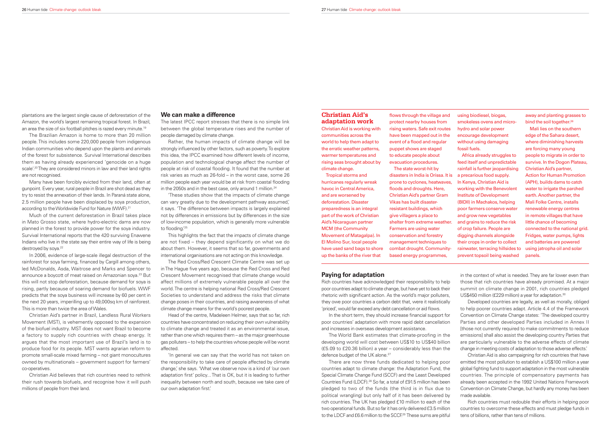plantations are the largest single cause of deforestation of the Amazon, the world's largest remaining tropical forest. In Brazil, an area the size of six football pitches is razed every minute.19

The Brazilian Amazon is home to more than 20 million people. This includes some 220,000 people from indigenous Indian communities who depend upon the plants and animals of the forest for subsistence. Survival International describes them as having already experienced 'genocide on a huge scale'.<sup>20</sup> They are considered minors in law and their land rights are not recognised.

Much of the current deforestation in Brazil takes place in Mato Grosso state, where hydro-electric dams are now planned in the forest to provide power for the soya industry. Survival International reports that the 420 surviving Enawene Indians who live in the state say their entire way of life is being destroyed by soya.<sup>22</sup>

Many have been forcibly evicted from their land, often at gunpoint. Every year, rural people in Brazil are shot dead as they try to resist the annexation of their lands. In Paraná state alone, 2.5 million people have been displaced by soya production, according to the Worldwide Fund for Nature (WWF).21

Rather, the human impacts of climate change will be strongly influenced by other factors, such as poverty. To explore this idea, the IPCC examined how different levels of income, population and technological change affect the number of people at risk of coastal flooding. It found that the number at risk varies as much as 26-fold – in the worst case, some 26 million people each year would be at risk from coastal flooding in the 2050s and in the best case, only around 1 million.<sup>24</sup>

In 2006, evidence of large-scale illegal destruction of the rainforest for soya farming, financed by Cargill among others, led McDonalds, Asda, Waitrose and Marks and Spencer to announce a boycott of meat raised on Amazonian soya.<sup>23</sup> But this will not stop deforestation, because demand for soya is rising, partly because of soaring demand for biofuels. WWF predicts that the soya business will increase by 60 per cent in the next 20 years, imperilling up to 49,000sq km of rainforest. This is more than twice the area of Wales.

'These studies show that the impacts of climate change can vary greatly due to the development pathway assumed,' it says. 'The difference between impacts is largely explained not by differences in emissions but by differences in the size of low-income population, which is generally more vulnerable to flooding.<sup>'25</sup>

Christian Aid's partner in Brazil, Landless Rural Workers Movement (MST), is vehemently opposed to the expansion of the biofuel industry. MST does not want Brazil to become a factory to supply rich countries with cheap energy. It argues that the most important use of Brazil's land is to produce food for its people. MST wants agrarian reform to promote small-scale mixed farming – not giant monocultures owned by multinationals – government support for farmers' co-operatives.

'In general we can say that the world has not taken on the responsibility to take care of people affected by climate change,' she says. 'What we observe now is a kind of 'our own adaptation first' policy... That is OK, but it is leading to further inequality between north and south, because we take care of our own adaptation first.

Christian Aid believes that rich countries need to rethink their rush towards biofuels, and recognise how it will push millions of people from their land.

Rich countries have acknowledged their responsibility to help poor countries adapt to climate change, but have yet to back their rhetoric with significant action. As the world's major polluters, they owe poor countries a carbon debt that, were it realistically 'priced', would far exceed any debt cancellation or aid flows.

#### **We can make a difference**

The latest IPCC report stresses that there is no simple link between the global temperature rises and the number of people damaged by climate change.

> In the short term, they should increase financial support for poor countries' adaptation with more rapid debt cancellation and increases in overseas development assistance.

The World Bank estimates that climate-proofing in the developing world will cost between US\$10 to US\$40 billion (£5.09 to £20.36 billion) a year – considerably less than the defence budget of the UK alone.<sup>27</sup>

in the context of what is needed. They are far lower even than those that rich countries have already promised. At a major summit on climate change in 2001, rich countries pledged US\$450 million (£229 million) a year for adaptation.<sup>30</sup>

This highlights the fact that the impacts of climate change are not fixed – they depend significantly on what we do about them. However, it seems that so far, governments and international organisations are not acting on this knowledge.

The Red Cross/Red Crescent Climate Centre was set up in The Hague five years ago, because the Red Cross and Red Crescent Movement recognised that climate change would affect millions of extremely vulnerable people all over the world. The centre is helping national Red Cross/Red Crescent Societies to understand and address the risks that climate change poses in their countries, and raising awareness of what climate change means for the world's poorest people.

flows through the village and protect nearby houses from rising waters. Safe exit routes have been mapped out in the event of a flood and regular puppet shows are staged to educate people about evacuation procedures.

Head of the centre, Madeleen Helmer, says that so far, rich countries have concentrated on reducing their own vulnerability to climate change and treated it as an environmental issue, rather than one which requires them – as the major greenhouse gas polluters – to help the countries whose people will be worst affected.

Africa already struggles to feed itself and unpredictable rainfall is further jeopardising a precarious food supply. In Kenya, Christian Aid is working with the Benevolent Institute of Development (BIDII) in Machakos, helping poor farmers conserve water and grow new vegetables and grains to reduce the risk of crop failure. People are digging channels alongside their crops in order to collect rainwater, terracing hillsides to using jatropha oil and solar prevent topsoil being washed

away and planting grasses to bind the soil together.<sup>26</sup>

#### **Paying for adaptation**

There are now three funds dedicated to helping poor countries adapt to climate change: the Adaptation Fund, the Special Climate Change Fund (SCCF) and the Least Developed Countries Fund (LDCF).28 So far, a total of £91.5 million has been pledged to two of the funds (the third is in flux due to political wrangling) but only half of it has been delivered by rich countries. The UK has pledged £10 million to each of the two operational funds. But so far it has only delivered £3.5 million to the LDCF and £6.6 million to the SCCF.<sup>29</sup> These sums are pitiful Christian Aid is also campaigning for rich countries that have emitted the most pollution to establish a US\$100 million a year global fighting fund to support adaptation in the most vulnerable countries. The principle of compensatory payments has already been accepted in the 1992 United Nations Framework Convention on Climate Change, but hardly any money has been made available. Rich countries must redouble their efforts in helping poor countries to overcome these effects and must pledge funds in tens of billions, rather than tens of millions.

Developed countries are legally, as well as morally, obliged to help poorer countries adapt. Article 4.4 of the Framework Convention on Climate Change states: 'The developed country Parties and other developed Parties included in Annex II [those not currently required to make commitments to reduce emissions] shall also assist the developing country Parties that are particularly vulnerable to the adverse effects of climate change in meeting costs of adaptation to those adverse effects.'

#### **Christian Aid's adaptation work**

Christian Aid is working with communities across the world to help them adapt to the erratic weather patterns, warmer temperatures and rising seas brought about by climate change.

Tropical storms and hurricanes regularly wreak havoc in Central America, and are worsened by deforestation. Disaster preparedness is an integral part of the work of Christian Aid's Nicaraguan partner MCM (the Community Movement of Matagalpa). In El Molino Sur, local people have used sand bags to shore up the banks of the river that

The state worst-hit by disasters in India is Orissa. It is prone to cyclones, heatwaves, floods and droughts. Here, Christian Aid's partner Gram Vikas has built disasterresistant buildings, which give villagers a place to shelter from extreme weather. Farmers are using water conservation and forestry management techniques to combat drought. Communitybased energy programmes,

using biodiesel, biogas, smokeless ovens and microhydro and solar power encourage development without using damaging fossil fuels.

Mali lies on the southern edge of the Sahara desert, where diminishing harvests are forcing many young people to migrate in order to survive. In the Dogon Plateau, Christian Aid's partner, Action for Human Promotion (APH), builds dams to catch water to irrigate the parched earth. Another partner, the Mali Folke Centre, installs renewable energy centres in remote villages that have little chance of becoming connected to the national grid. Fridges, water pumps, lights and batteries are powered panels.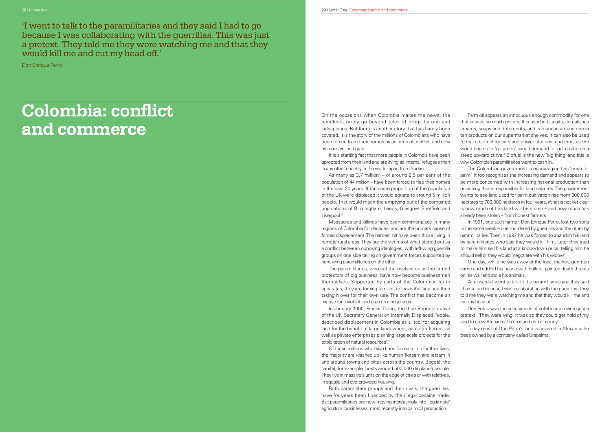## **Colombia: conflict and commerce**

'I went to talk to the paramilitaries and they said I had to go because I was collaborating with the guerrillas. This was just a pretext. They told me they were watching me and that they would kill me and cut my head off.'

Don Enrique Petro

On the occasions when Colombia makes the news, the headlines rarely go beyond tales of drugs barons and kidnappings. But there is another story that has hardly been covered. It is the story of the millions of Colombians who have been forced from their homes by an internal conflict, and now by massive land grab.

It is a startling fact that more people in Colombia have been uprooted from their land and are living as internal refugees than in any other country in the world, apart from Sudan.

As many as 3.7 million<sup>1</sup> – or around 8.5 per cent of the population of 44 million – have been forced to flee their homes in the past 20 years. If the same proportion of the population of the UK were displaced it would equate to around 5 million people. That would mean the emptying out of the combined populations of Birmingham, Leeds, Glasgow, Sheffield and Liverpool.<sup>2</sup>

Massacres and killings have been commonplace in many regions of Colombia for decades, and are the primary cause of forced displacement. The hardest hit have been those living in remote rural areas. They are the victims of what started out as a conflict between opposing ideologies, with left-wing guerrilla groups on one side taking on government forces supported by right-wing paramilitaries on the other.

Of those millions who have been forced to run for their lives, the majority are washed up like human flotsam and jetsam in and around towns and cities across the country. Bogotá, the capital, for example, hosts around 500,000 displaced people. They live in massive slums on the edge of cities or with relatives, in squalid and overcrowded housing.

Both paramilitary groups and their rivals, the guerrillas, have for years been financed by the illegal cocaine trade. But paramilitaries are now moving increasingly into 'legitimate' agricultural businesses, most recently into palm oil production.

The paramilitaries, who set themselves up as the armed protectors of big business, have now become businessmen themselves. Supported by parts of the Colombian state apparatus, they are forcing families to leave the land and then taking it over for their own use. The conflict has become an excuse for a violent land grab on a huge scale. came and riddled his house with bullets, painted death threats on his wall and stole his animals.'Afterwards I went to talk to the paramilitaries and they said I had to go because I was collaborating with the guerrillas. They told me they were watching me and that they would kill me and cut my head off.'

Palm oil appears an innocuous enough commodity for one that causes so much misery. It is used in biscuits, cereals, ice creams, soaps and detergents, and is found in around one in ten products on our supermarket shelves. It can also be used to make biofuel for cars and power stations, and thus, as the world begins to 'go green', world demand for palm oil is on a steep upward curve.<sup>4</sup> Biofuel is the new 'big thing' and this is why Colombian paramilitaries want to cash in.

In January 2000, Francis Deng, the then Representative of the UN Secretary General on Internally Displaced People, described displacement in Colombia as a 'tool for acquiring land for the benefit of large landowners, narco-traffickers, as well as private enterprises planning large-scale projects for the exploitation of natural resources'.<sup>3</sup> Don Petro says the accusations of collaboration were just a pretext. 'They were lying. It was so they could get hold of my land to grow African palm on it and make money.' Today most of Don Petro's land is covered in African palm trees owned by a company called Urapalma.

The Colombian government is encouraging this 'push for palm'. It too recognises the increasing demand and appears to be more concerned with increasing national production than punishing those responsible for land seizures. The government wants to see land used for palm cultivation rise from 300,000 hectares to 700,000 hectares in four years. What is not yet clear is how much of this land will be stolen – and how much has already been stolen – from honest farmers.

In 1991, one such farmer, Don Enrique Petro, lost two sons in the same week – one murdered by guerrillas and the other by paramilitaries. Then in 1997 he was forced to abandon his land by paramilitaries who said they would kill him. Later they tried to make him sell his land at a knock-down price, telling him he should sell or they would 'negotiate with his widow'.

One day, while he was away at the local market, gunmen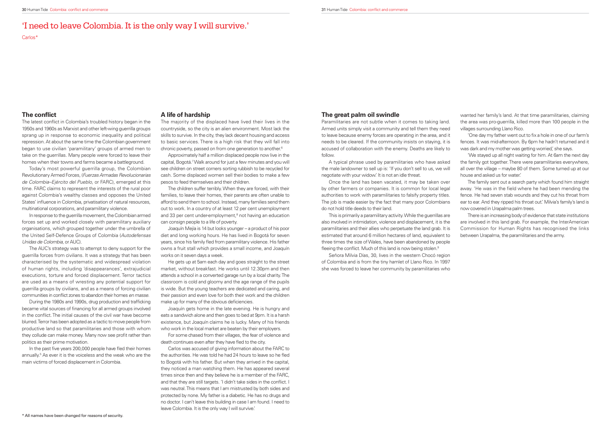The latest conflict in Colombia's troubled history began in the 1950s and 1960s as Marxist and other left-wing guerrilla groups sprang up in response to economic inequality and political repression. At about the same time the Colombian government began to use civilian 'paramilitary' groups of armed men to take on the guerrillas. Many people were forced to leave their homes when their towns and farms became a battleground.

The AUC's strategy was to attempt to deny support for the guerrilla forces from civilians. It was a strategy that has been characterised by the systematic and widespread violation of human rights, including 'disappearances', extrajudicial executions, torture and forced displacement. Terror tactics are used as a means of wresting any potential support for guerrilla groups by civilians, and as a means of forcing civilian communities in conflict zones to abandon their homes *en masse*.

Today's most powerful guerrilla group, the Colombian Revolutionary Armed Forces, (Fuerzas Armadas Revolucionarias de Colombia–Ejército del Pueblo, or FARC), emerged at this time. FARC claims to represent the interests of the rural poor against Colombia's wealthy classes and opposes the United States' influence in Colombia, privatisation of natural resources, multinational corporations, and paramilitary violence.

In response to the guerrilla movement, the Colombian armed forces set up and worked closely with paramilitary auxiliary organisations, which grouped together under the umbrella of the United Self-Defence Groups of Colombia (Autodefensas Unidas de Colombia, or AUC).

During the 1980s and 1990s, drug production and trafficking became vital sources of financing for all armed groups involved in the conflict. The initial causes of the civil war have become blurred. Terror has been adopted as a tactic to move people from productive land so that paramilitaries and those with whom they collude can make money. Many now see profit rather than politics as their prime motivation.

In the past five years 200,000 people have fled their homes annually.<sup>5</sup> As ever it is the voiceless and the weak who are the main victims of forced displacement in Colombia.

He gets up at 5am each day and goes straight to the street market, without breakfast. He works until 12.30pm and then attends a school in a converted garage run by a local charity. The classroom is cold and gloomy and the age range of the pupils is wide. But the young teachers are dedicated and caring, and their passion and even love for both their work and the children make up for many of the obvious deficiencies.

For some chased from their villages, the fear of violence and death continues even after they have fled to the city.

#### **A life of hardship**

The majority of the displaced have lived their lives in the countryside, so the city is an alien environment. Most lack the skills to survive. In the city, they lack decent housing and access to basic services. There is a high risk that they will fall into chronic poverty, passed on from one generation to another.6

Approximately half a million displaced people now live in the capital, Bogotá.7 Walk around for just a few minutes and you will see children on street corners sorting rubbish to be recycled for cash. Some displaced women sell their bodies to make a few pesos to feed themselves and their children.

> This is primarily a paramilitary activity. While the guerrillas are also involved in intimidation, violence and displacement, it is the paramilitaries and their allies who perpetuate the land grab. It is estimated that around 6 million hectares of land, equivalent to three times the size of Wales, have been abandoned by people fleeing the conflict. Much of this land is now being stolen.<sup>9</sup>

The children suffer terribly. When they are forced, with their families, to leave their homes, their parents are often unable to afford to send them to school. Instead, many families send them out to work. In a country of at least 12 per cent unemployment and 33 per cent under-employment,<sup>8</sup> not having an education can consign people to a life of poverty.

Joaquín Mejía is 14 but looks younger – a product of his poor diet and long working hours. He has lived in Bogotá for seven years, since his family fled from paramilitary violence. His father owns a fruit stall which provides a small income, and Joaquín works on it seven days a week.

Joaquín gets home in the late evening. He is hungry and eats a sandwich alone and then goes to bed at 9pm. It is a harsh existence, but Joaquín claims he is lucky. Many of his friends who work in the local market are beaten by their employers.

Carlos was accused of giving information about the FARC to the authorities. He was told he had 24 hours to leave so he fled to Bogotá with his father. But when they arrived in the capital, they noticed a man watching them. He has appeared several times since then and they believe he is a member of the FARC, and that they are still targets. 'I didn't take sides in the conflict. I was neutral. This means that I am mistrusted by both sides and protected by none. My father is a diabetic. He has no drugs and no doctor. I can't leave this building in case I am found. I need to leave Colombia. It is the only way I will survive.'

## 'I need to leave Colombia. It is the only way I will survive.'

Carlos\*

### **The conflict**

#### **The great palm oil swindle**

Paramilitaries are not subtle when it comes to taking land. Armed units simply visit a community and tell them they need to leave because enemy forces are operating in the area, and it needs to be cleared. If the community insists on staying, it is accused of collaboration with the enemy. Deaths are likely to follow.

A typical phrase used by paramilitaries who have asked the male landowner to sell up is: 'If you don't sell to us, we will negotiate with your widow.' It is not an idle threat.

Once the land has been vacated, it may be taken over by other farmers or companies. It is common for local legal authorities to work with paramilitaries to falsify property titles. The job is made easier by the fact that many poor Colombians do not hold title deeds to their land.

Señora Milvia Días, 30, lives in the western Chocó region of Colombia and is from the tiny hamlet of Llano Rico. In 1997 she was forced to leave her community by paramilitaries who

wanted her family's land. At that time paramilitaries, claiming the area was pro-guerrilla, killed more than 100 people in the villages surrounding Llano Rico.

'One day my father went out to fix a hole in one of our farm's fences. It was mid-afternoon. By 6pm he hadn't returned and it was dark and my mother was getting worried,' she says.

'We stayed up all night waiting for him. At 6am the next day the family got together. There were paramilitaries everywhere, all over the village – maybe 80 of them. Some turned up at our house and asked us for water.'

The family sent out a search party which found him straight away. 'He was in the field where he had been mending the fence. He had seven stab wounds and they cut his throat from ear to ear. And they ripped his throat out.' Milvia's family's land is now covered in Urapalma palm trees.

There is an increasing body of evidence that state institutions are involved in this land grab. For example, the InterAmerican Commission for Human Rights has recognised the links between Urapalma, the paramilitaries and the army.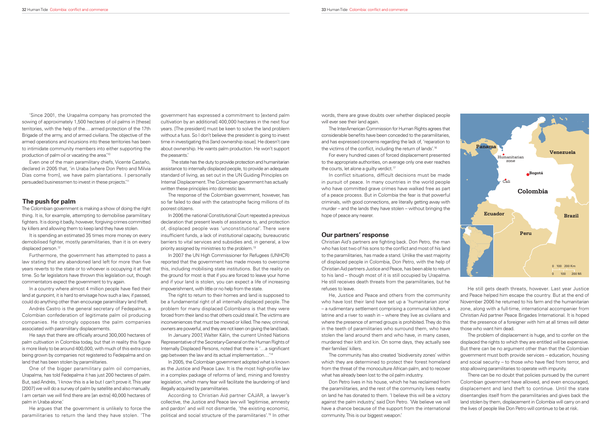'Since 2001, the Urapalma company has promoted the sowing of approximately 1,500 hectares of oil palms in [these] territories, with the help of the… armed protection of the 17th Brigade of the army, and of armed civilians. The objective of the armed operations and incursions into these territories has been to intimidate community members into either supporting the production of palm oil or vacating the area.'10

Even one of the main paramilitary chiefs, Vicente Castaño, declared in 2005 that, 'in Uraba [where Don Petro and Milvia Días come from], we have palm plantations. I personally persuaded businessmen to invest in these projects.'11

#### **The push for palm**

In a country where almost 4 million people have fled their land at gunpoint, it is hard to envisage how such a law, if passed, could do anything other than encourage paramilitary land theft.

The Colombian government is making a show of doing the right thing. It is, for example, attempting to demobilise paramilitary fighters. It is doing it badly, however, forgiving crimes committed by killers and allowing them to keep land they have stolen.

It is spending an estimated 35 times more money on every demobilised fighter, mostly paramilitaries, than it is on every displaced person.<sup>12</sup>

He says that there are officially around 300,000 hectares of palm cultivation in Colombia today, but that in reality this figure is more likely to be around 400,000, with much of this extra crop being grown by companies not registered to Fedepalma and on land that has been stolen by paramilitaries.

Furthermore, the government has attempted to pass a law stating that any abandoned land left for more than five years reverts to the state or to whoever is occupying it at that time. So far legislators have thrown this legislation out, though commentators expect the government to try again.

Andrés Castro is the general secretary of Fedepalma, a Colombian confederation of legitimate palm oil producing companies. He strongly opposes the palm companies associated with paramilitary displacements.

One of the bigger paramilitary palm oil companies, Urapalma, has told Fedepalma it has just 200 hectares of palm. But, said Andrés, 'I know this is a lie but I can't prove it. This year [2007] we will do a survey of palm by satellite and also manually. I am certain we will find there are [an extra] 40,000 hectares of palm in Uraba alone.'

He argues that the government is unlikely to force the paramilitaries to return the land they have stolen. 'The

The InterAmerican Commission for Human Rights agrees that considerable benefits have been conceded to the paramilitaries. and has expressed concerns regarding the lack of, 'reparation to the victims of the conflict, including the return of lands'.<sup>16</sup>

government has expressed a commitment to [extend palm cultivation by an additional] 400,000 hectares in the next four years. [The president] must be keen to solve the land problem without a fuss. So I don't believe the president is going to invest time in investigating this [land ownership issue]. He doesn't care about ownership. He wants palm production. He won't support the peasants.'

For every hundred cases of forced displacement presented to the appropriate authorities, on average only one ever reaches the courts, let alone a quilty verdict.<sup>17</sup>

The state has the duty to provide protection and humanitarian assistance to internally displaced people, to provide an adequate standard of living, as set out in the UN Guiding Principles on Internal Displacement. The Colombian government has actually written these principles into domestic law.

The response of the Colombian government, however, has so far failed to deal with the catastrophe facing millions of its poorest citizens.

> Christian Aid's partners are fighting back. Don Petro, the man who has lost two of his sons to the conflict and most of his land to the paramilitaries, has made a stand. Unlike the vast majority of displaced people in Colombia, Don Petro, with the help of Christian Aid partners Justice and Peace, has been able to return to his land – though most of it is still occupied by Urapalma. He still receives death threats from the paramilitaries, but he refuses to leave.

In 2006 the national Constitutional Court repeated a previous declaration that present levels of assistance to, and protection of, displaced people was 'unconstitutional'. There were insufficient funds, a lack of institutional capacity, bureaucratic barriers to vital services and subsidies and, in general, a low priority assigned by ministries to the problem.13

In 2007 the UN High Commissioner for Refugees (UNHCR) reported that the government has made moves to overcome this, including mobilising state institutions. But the reality on the ground for most is that if you are forced to leave your home and if your land is stolen, you can expect a life of increasing impoverishment, with little or no help from the state.

The right to return to their homes and land is supposed to be a fundamental right of all internally displaced people. The problem for many displaced Colombians is that they were forced from their land so that others could steal it. The victims are inconveniences that must be moved or killed. The new, criminal, owners are powerful, and they are not keen on giving the land back.

In January 2007, Walter Kälin, the current United Nations Representative of the Secretary-General on the Human Rights of Internally Displaced Persons, noted that there is '...a significant gap between the law and its actual implementation…'14

In 2005, the Colombian government adopted what is known as the Justice and Peace Law. It is the most high-profile law in a complex package of reforms of land, mining and forestry legislation, which many fear will facilitate the laundering of land illegally acquired by paramilitaries.

According to Christian Aid partner CAJAR, a lawyer's collective, the Justice and Peace law will 'legitimise, amnesty and pardon' and will not dismantle, 'the existing economic, political and social structure of the paramilitaries'.15 In other

words, there are grave doubts over whether displaced people will ever see their land again.

In conflict situations, difficult decisions must be made in pursuit of peace. In many countries in the world people who have committed grave crimes have walked free as part of a peace process. But in Colombia the fear is that powerful criminals, with good connections, are literally getting away with murder – and the lands they have stolen – without bringing the hope of peace any nearer.

#### **Our partners' response**

He, Justice and Peace and others from the community who have lost their land have set up a 'humanitarian zone' – a rudimentary settlement comprising a communal kitchen, a latrine and a river to wash in – where they live as civilians and where the presence of armed groups is prohibited. They do this in the teeth of paramilitaries who surround them, who have stolen the land around them and who have, in many cases, murdered their kith and kin. On some days, they actually see their families' killers.

The community has also created 'biodiversity zones' within which they are determined to protect their forest homeland from the threat of the monoculture African palm, and to recover what has already been lost to the oil palm industry.

Don Petro lives in his house, which he has reclaimed from the paramilitaries, and the rest of the community lives nearby on land he has donated to them. 'I believe this will be a victory against the palm industry,' said Don Petro. 'We believe we will have a chance because of the support from the international community. This is our biggest weapon.'

He still gets death threats, however. Last year Justice and Peace helped him escape the country. But at the end of November 2006 he returned to his farm and the humanitarian zone, along with a full-time, international accompanier from Christian Aid partner Peace Brigades International. It is hoped that the presence of a foreigner with him at all times will deter those who want him dead.

The problem of displacement is huge, and to confer on the displaced the rights to which they are entitled will be expensive. But there can be no argument other than that the Colombian government must both provide services – education, housing and social security  $-$  to those who have fled from terror, and stop allowing paramilitaries to operate with impunity.

There can be no doubt that policies pursued by the current Colombian government have allowed, and even encouraged, displacement and land theft to continue. Until the state disentangles itself from the paramilitaries and gives back the land stolen by them, displacement in Colombia will carry on and the lives of people like Don Petro will continue to be at risk.

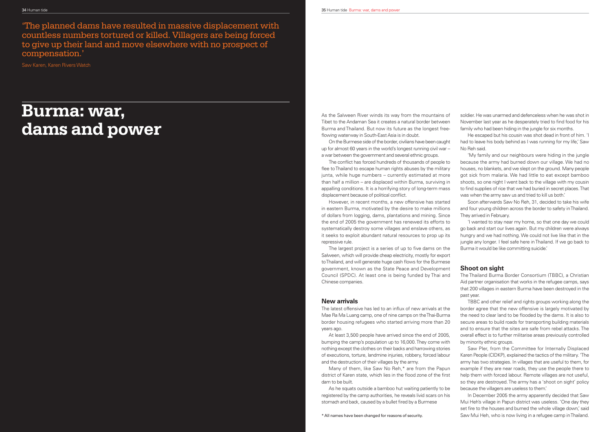'The planned dams have resulted in massive displacement with countless numbers tortured or killed. Villagers are being forced to give up their land and move elsewhere with no prospect of compensation.'

> As the Salween River winds its way from the mountains of Tibet to the Andaman Sea it creates a natural border between Burma and Thailand. But now its future as the longest freeflowing waterway in South-East Asia is in doubt.

Saw Karen, Karen Rivers Watch

## **Burma: war, dams and power**

On the Burmese side of the border, civilians have been caught up for almost 60 years in the world's longest running civil war – a war between the government and several ethnic groups.

The conflict has forced hundreds of thousands of people to flee to Thailand to escape human rights abuses by the military junta, while huge numbers – currently estimated at more than half a million – are displaced within Burma, surviving in appalling conditions. It is a horrifying story of long-term mass displacement because of political conflict.

The latest offensive has led to an influx of new arrivals at the Mae Ra Ma Luang camp, one of nine camps on the Thai-Burma border housing refugees who started arriving more than 20 years ago.

Many of them, like Saw No Reh,\* are from the Papun district of Karen state, which lies in the flood zone of the first dam to be built.

As he squats outside a bamboo hut waiting patiently to be registered by the camp authorities, he reveals livid scars on his stomach and back, caused by a bullet fired by a Burmese

However, in recent months, a new offensive has started in eastern Burma, motivated by the desire to make millions of dollars from logging, dams, plantations and mining. Since the end of 2005 the government has renewed its efforts to systematically destroy some villages and enslave others, as it seeks to exploit abundant natural resources to prop up its repressive rule.

The largest project is a series of up to five dams on the Salween, which will provide cheap electricity, mostly for export to Thailand, and will generate huge cash flows for the Burmese government, known as the State Peace and Development Council (SPDC). At least one is being funded by Thai and Chinese companies.

### **New arrivals**

At least 3,500 people have arrived since the end of 2005, bumping the camp's population up to 16,000. They come with nothing except the clothes on their backs and harrowing stories of executions, torture, landmine injuries, robbery, forced labour and the destruction of their villages by the army.

soldier. He was unarmed and defenceless when he was shot in November last year as he desperately tried to find food for his family who had been hiding in the jungle for six months.

He escaped but his cousin was shot dead in front of him. 'I had to leave his body behind as I was running for my life,' Saw No Reh said.

'My family and our neighbours were hiding in the jungle because the army had burned down our village. We had no houses, no blankets, and we slept on the ground. Many people got sick from malaria. We had little to eat except bamboo shoots, so one night I went back to the village with my cousin to find supplies of rice that we had buried in secret places. That was when the army saw us and tried to kill us both.'

Soon afterwards Saw No Reh, 31, decided to take his wife and four young children across the border to safety in Thailand. They arrived in February.

'I wanted to stay near my home, so that one day we could go back and start our lives again. But my children were always hungry and we had nothing. We could not live like that in the jungle any longer. I feel safe here in Thailand. If we go back to Burma it would be like committing suicide.'

#### **Shoot on sight**

The Thailand Burma Border Consortium (TBBC), a Christian Aid partner organisation that works in the refugee camps, says that 200 villages in eastern Burma have been destroyed in the past year.

TBBC and other relief and rights groups working along the border agree that the new offensive is largely motivated by the need to clear land to be flooded by the dams. It is also to secure areas to build roads for transporting building materials and to ensure that the sites are safe from rebel attacks. The overall effect is to further militarise areas previously controlled by minority ethnic groups.

Saw Pler, from the Committee for Internally Displaced Karen People (CIDKP), explained the tactics of the military. 'The army has two strategies. In villages that are useful to them, for example if they are near roads, they use the people there to help them with forced labour. Remote villages are not useful, so they are destroyed. The army has a 'shoot on sight' policy because the villagers are useless to them.'

In December 2005 the army apparently decided that Saw Mui Heh's village in Papun district was useless. 'One day they set fire to the houses and burned the whole village down,' said Saw Mui Heh, who is now living in a refugee camp in Thailand.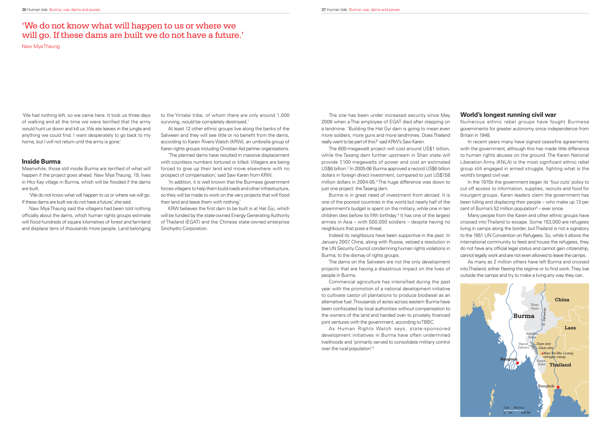'We had nothing left, so we came here. It took us three days of walking and all the time we were terrified that the army would hunt us down and kill us. We ate leaves in the jungle and anything we could find. I want desperately to go back to my home, but I will not return until the army is gone.'

Meanwhile, those still inside Burma are terrified of what will happen if the project goes ahead. Naw Mya Thaung, 19, lives in Hko Kay village in Burma, which will be flooded if the dams are built.

'We do not know what will happen to us or where we will go. If these dams are built we do not have a future, she said.

#### **Inside Burma**

to the Yintalai tribe, of whom there are only around 1,000 surviving, would be completely destroyed.<sup>1</sup>

Naw Mya Thaung said the villagers had been told nothing officially about the dams, which human rights groups estimate will flood hundreds of square kilometres of forest and farmland and displace tens of thousands more people. Land belonging

KRW believes the first dam to be built is at Hat Gyi, which will be funded by the state-owned Energy Generating Authority of Thailand (EGAT) and the Chinese state-owned enterprise Sinohydro Corporation.

The site has been under increased security since May 2006 when a Thai employee of EGAT died after stepping on a landmine. 'Building the Hat Gyi dam is going to mean even more soldiers, more guns and more landmines. Does Thailand really want to be part of this?' said KRW's Saw Karen. Numerous ethnic rebel groups have fought Burmese governments for greater autonomy since independence from Britain in 1948.In recent years many have signed ceasefire agreements

At least 12 other ethnic groups live along the banks of the Salween and they will see little or no benefit from the dams. according to Karen Rivers Watch (KRW), an umbrella group of Karen rights groups including Christian Aid partner organisations.

The 600-megawatt project will cost around US\$1 billion, while the Tasang dam further upstream in Shan state will provide 7,100 megawatts of power and cost an estimated US\$6 billion.2 In 2005-06 Burma approved a record US\$6 billion dollars in foreign direct investment, compared to just US\$158 million dollars in 2004-05.3 The huge difference was down to just one project: the Tasang dam.

'The planned dams have resulted in massive displacement with countless numbers tortured or killed. Villagers are being forced to give up their land and move elsewhere with no prospect of compensation,' said Saw Karen from KRW.

'In addition, it is well known that the Burmese government forces villagers to help them build roads and other infrastructure, so they will be made to work on the very projects that will flood their land and leave them with nothing.'

> Commercial agriculture has intensified during the past year with the promotion of a national development initiative to cultivate castor oil plantations to produce biodiesel as an alternative fuel. Thousands of acres across eastern Burma have been confiscated by local authorities without compensation to the owners of the land and handed over to privately financed joint ventures with the government, according to TBBC.

As Human Rights Watch says, state-sponsored development initiatives in Burma have often undermined livelihoods and 'primarily served to consolidate military control over the rural population'.<sup>5</sup>

## 'We do not know what will happen to us or where we will go. If these dams are built we do not have a future.'

Naw Mya Thaung

In the 1970s the government began its 'four cuts' policy to cut off access to information, supplies, recruits and food for insurgent groups. Karen leaders claim the government has been killing and displacing their people – who make up 13 per cent of Burma's 52 million population $6 -$  ever since.

Burma is in great need of investment from abroad. It is one of the poorest countries in the world but nearly half of the government's budget is spent on the military, while one in ten children dies before its fifth birthday.<sup>4</sup> It has one of the largest armies in Asia – with 500,000 soldiers – despite having no neighbours that pose a threat.

Indeed its neighbours have been supportive in the past. In January 2007, China, along with Russia, vetoed a resolution in the UN Security Council condemning human rights violations in Burma, to the dismay of rights groups.

The dams on the Salween are not the only development projects that are having a disastrous impact on the lives of people in Burma.

#### **World's longest running civil war**

with the government, although this has made little difference to human rights abuses on the ground. The Karen National Liberation Army (KNLA) is the most significant ethnic rebel group still engaged in armed struggle, fighting what is the world's longest civil war.

Many people from the Karen and other ethnic groups have crossed into Thailand to escape. Some 153,000 are refugees living in camps along the border, but Thailand is not a signatory to the 1951 UN Convention on Refugees. So, while it allows the international community to feed and house the refugees, they do not have any official legal status and cannot gain citizenship, cannot legally work and are not even allowed to leave the camps.

As many as 2 million others have left Burma and crossed into Thailand, either fleeing the regime or to find work. They live outside the camps and try to make a living any way they can.

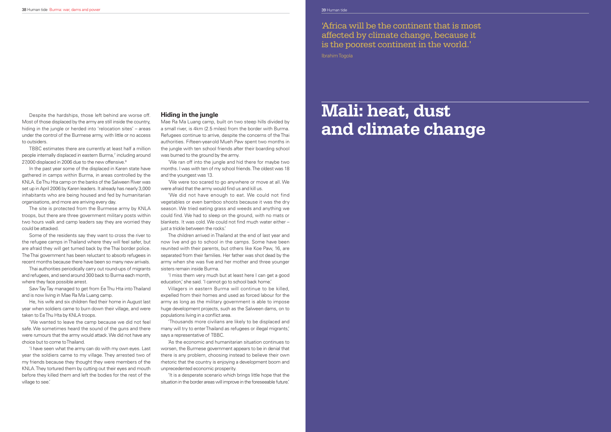Despite the hardships, those left behind are worse off. Most of those displaced by the army are still inside the country, hiding in the jungle or herded into 'relocation sites' – areas under the control of the Burmese army, with little or no access to outsiders.

TBBC estimates there are currently at least half a million people internally displaced in eastern Burma,7 including around 27,000 displaced in 2006 due to the new offensive.<sup>8</sup>

In the past year some of the displaced in Karen state have gathered in camps within Burma, in areas controlled by the KNLA. Ee Thu Hta camp on the banks of the Salween River was set up in April 2006 by Karen leaders. It already has nearly 3,000 inhabitants who are being housed and fed by humanitarian organisations, and more are arriving every day.

He, his wife and six children fled their home in August last year when soldiers came to burn down their village, and were taken to Ee Thu Hta by KNLA troops.

The site is protected from the Burmese army by KNLA troops, but there are three government military posts within two hours walk and camp leaders say they are worried they could be attacked.

Some of the residents say they want to cross the river to the refugee camps in Thailand where they will feel safer, but are afraid they will get turned back by the Thai border police. The Thai government has been reluctant to absorb refugees in recent months because there have been so many new arrivals.

Thai authorities periodically carry out round-ups of migrants and refugees, and send around 300 back to Burma each month, where they face possible arrest.

'We were too scared to go anywhere or move at all. We were afraid that the army would find us and kill us.

'We did not have enough to eat. We could not find vegetables or even bamboo shoots because it was the dry season. We tried eating grass and weeds and anything we could find. We had to sleep on the ground, with no mats or blankets. It was cold. We could not find much water either  $$ just a trickle between the rocks.

Saw Tay Tay managed to get from Ee Thu Hta into Thailand and is now living in Mae Ra Ma Luang camp.

Villagers in eastern Burma will continue to be killed, expelled from their homes and used as forced labour for the army as long as the military government is able to impose huge development projects, such as the Salween dams, on to populations living in a conflict area.

'We wanted to leave the camp because we did not feel safe. We sometimes heard the sound of the guns and there were rumours that the army would attack. We did not have any choice but to come to Thailand.

'I have seen what the army can do with my own eyes. Last year the soldiers came to my village. They arrested two of my friends because they thought they were members of the KNLA. They tortured them by cutting out their eyes and mouth before they killed them and left the bodies for the rest of the village to see.'

#### **Hiding in the jungle**

Mae Ra Ma Luang camp, built on two steep hills divided by a small river, is 4km (2.5 miles) from the border with Burma. Refugees continue to arrive, despite the concerns of the Thai authorities. Fifteen-year-old Mueh Paw spent two months in the jungle with ten school friends after their boarding school was burned to the ground by the army.

'We ran off into the jungle and hid there for maybe two months. I was with ten of my school friends. The oldest was 18 and the youngest was 13.

The children arrived in Thailand at the end of last year and now live and go to school in the camps. Some have been reunited with their parents, but others like Koe Paw, 16, are separated from their families. Her father was shot dead by the army when she was five and her mother and three younger sisters remain inside Burma.

'I miss them very much but at least here I can get a good education,' she said. 'I cannot go to school back home.'

'Thousands more civilians are likely to be displaced and many will try to enter Thailand as refugees or illegal migrants,' says a representative of TBBC.

'As the economic and humanitarian situation continues to worsen, the Burmese government appears to be in denial that there is any problem, choosing instead to believe their own rhetoric that the country is enjoying a development boom and unprecedented economic prosperity.

'It is a desperate scenario which brings little hope that the situation in the border areas will improve in the foreseeable future.'

'Africa will be the continent that is most affected by climate change, because it is the poorest continent in the world.'

Ibrahim Togola

# **Mali: heat, dust and climate change**

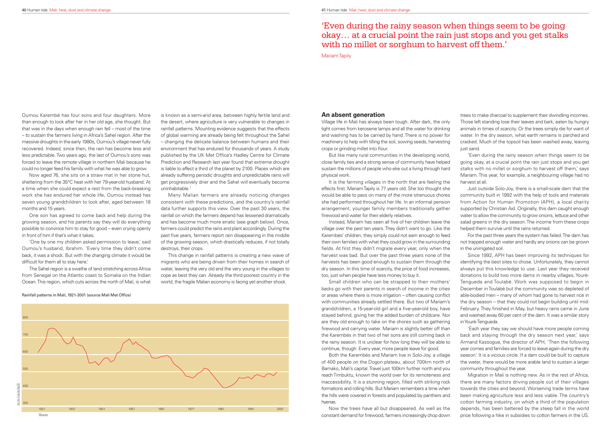Oumou Karembé has four sons and four daughters. More than enough to look after her in her old age, she thought. But that was in the days when enough rain fell – most of the time – to sustain the farmers living in Africa's Sahel region. After the massive droughts in the early 1980s, Oumou's village never fully recovered. Indeed, since then, the rain has become less and less predictable. Two years ago, the last of Oumou's sons was forced to leave the remote village in northern Mali because he could no longer feed his family with what he was able to grow.

'One by one my children asked permission to leave,' said Oumou's husband, Ibrahim. 'Every time they didn't come back, it was a shock. But with the changing climate it would be difficult for them all to stay here.

Now aged 76, she sits on a straw mat in her stone hut, sheltering from the 35°C heat with her 79-year-old husband. At a time when she could expect a rest from the back-breaking work she has endured her whole life, Oumou instead has seven young grandchildren to look after, aged between 18 months and 15 years.

is known as a semi-arid area, between highly fertile land and the desert, where agriculture is very vulnerable to changes in rainfall patterns. Mounting evidence suggests that the effects of global warming are already being felt throughout the Sahel – changing the delicate balance between humans and their environment that has endured for thousands of years. A study published by the UK Met Office's Hadley Centre for Climate Prediction and Research last year found that extreme drought is liable to affect a third of the planet by 2100. Places which are already suffering periodic droughts and unpredictable rains will get progressively drier and the Sahel will eventually become uninhabitable.<sup>1</sup>

One son has agreed to come back and help during the growing season, and his parents say they will do everything possible to convince him to stay for good – even crying openly in front of him if that's what it takes.

The Sahel region is a swathe of land stretching across Africa from Senegal on the Atlantic coast to Somalia on the Indian Ocean. This region, which cuts across the north of Mali, is what

Village life in Mali has always been tough. After dark, the only light comes from kerosene lamps and all the water for drinking and washing has to be carried by hand. There is no power for machinery to help with tilling the soil, sowing seeds, harvesting crops or grinding millet into flour.

Instead, Mariam has seen all five of her children leave the village over the past ten years. They didn't want to go. Like the Karembés' children, they simply could not earn enough to feed their own families with what they could grow in the surrounding fields. At first they didn't migrate every year, only when the harvest was bad. But over the past three years none of the harvests has been good enough to sustain them through the dry season. In this time of scarcity, the price of food increases, too, just when people have less money to buy it.

Many Malian farmers are already noticing changes consistent with these predictions, and the country's rainfall data further supports this view. Over the past 30 years, the rainfall on which the farmers depend has lessened dramatically and has become much more erratic (see graph below). Once, farmers could predict the rains and plant accordingly. During the past five years, farmers report rain disappearing in the middle of the growing season, which drastically reduces, if not totally destroys, their crops.

This change in rainfall patterns is creating a new wave of migrants who are being driven from their homes in search of water, leaving the very old and the very young in the villages to cope as best they can. Already the third poorest country in the world, the fragile Malian economy is facing yet another shock.

> Now the trees have all but disappeared. As well as the constant demand for firewood, farmers increasingly chop down

#### Rainfall patterns in Mali, 1921-2001 (source Mali Met Office)



#### **An absent generation**

But like many rural communities in the developing world, close family ties and a strong sense of community have helped sustain the millions of people who eke out a living through hard physical work.

It is the farming villages in the north that are feeling the effects first. Mariam Tapily is 77 years old. She too thought she would be able to pass on many of the more strenuous chores she had performed throughout her life. In an informal pension arrangement, younger family members traditionally gather firewood and water for their elderly relatives.

Small children who can be strapped to their mothers' backs go with their parents in search of income in the cities or areas where there is more irrigation – often causing conflict with communities already settled there. But two of Mariam's grandchildren, a 15-year-old girl and a five-year-old boy, have stayed behind, giving her the added burden of childcare. Nor are they old enough to take on the chores such as gathering firewood and carrying water. Mariam is slightly better off than the Karembés in that two of her sons are still coming back in the rainy season. It is unclear for how long they will be able to continue, though. Every year, more people leave for good.

Both the Karembés and Mariam live in Solo-Joy, a village of 400 people on the Dogon plateau, about 700km north of Bamako, Mali's capital. Travel just 100km further north and you reach Timbuktu, known the world over for its remoteness and inaccessibility. It is a stunning region, filled with striking rock formations and rolling hills. But Mariam remembers a time when the hills were covered in forests and populated by panthers and hyenas.

trees to make charcoal to supplement their dwindling incomes. Those left standing lose their leaves and bark, eaten by hungry animals in times of scarcity. Or the trees simply die for want of water. In the dry season, what earth remains is parched and cracked. Much of the topsoil has been washed away, leaving just sand.

'Even during the rainy season when things seem to be going okay, at a crucial point the rain just stops and you get stalks with no millet or sorghum to harvest off them,' says Mariam. This year, for example, a neighbouring village had no harvest at all.

Just outside Solo-Joy, there is a small-scale dam that the community built in 1992 with the help of tools and materials from Action for Human Promotion (APH), a local charity supported by Christian Aid. Originally, this dam caught enough water to allow the community to grow onions, lettuce and other salad greens in the dry season. The income from these crops helped them survive until the rains returned.

For the past three years the system has failed. The dam has not trapped enough water and hardly any onions can be grown in the unirrigated soil.

Since 1992, APH has been improving its techniques for identifying the best sites to chose. Unfortunately, they cannot always put this knowledge to use. Last year they received donations to build two more dams in nearby villages, Youré-Tengueda and Toulabé. Work was supposed to begin in December in Toulabé but the community was so depleted of able-bodied men – many of whom had gone to harvest rice in the dry season – that they could not begin building until mid-February. They finished in May, but heavy rains came in June and washed away 60 per cent of the dam. It was a similar story in Youré-Tengueda.

'Each year they say we should have more people coming back and staying through the dry season next year,' says Armand Kassogue, the director of APH, 'Then the following year comes and families are forced to leave again during the dry season.' It is a vicious circle. If a dam could be built to capture the water, there would be more arable land to sustain a larger community throughout the year.

Migration in Mali is nothing new. As in the rest of Africa, there are many factors driving people out of their villages towards the cities and beyond. Worsening trade terms have been making agriculture less and less viable. The country's cotton farming industry, on which a third of the population depends, has been battered by the steep fall in the world price following a hike in subsidies to cotton farmers in the US.

## 'Even during the rainy season when things seem to be going okay… at a crucial point the rain just stops and you get stalks with no millet or sorghum to harvest off them.'

Mariam Tapily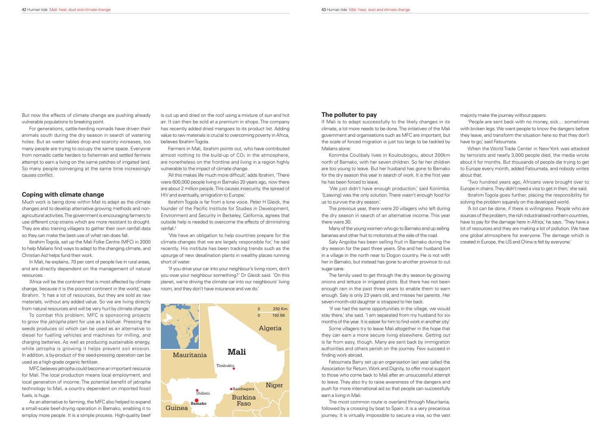For generations, cattle-herding nomads have driven their animals south during the dry season in search of watering holes. But as water tables drop and scarcity increases, too many people are trying to occupy the same space. Everyone from nomadic cattle herders to fishermen and settled farmers attempt to earn a living on the same patches of irrigated land. So many people converging at the same time increasingly causes conflict.

But now the effects of climate change are pushing already vulnerable populations to breaking point.

#### **Coping with climate change**

Much work is being done within Mali to adapt as the climate changes and to develop alternative growing methods and nonagricultural activities. The government is encouraging farmers to use different crop strains which are more resistant to drought. They are also training villagers to gather their own rainfall data so they can make the best use of what rain does fall.

Ibrahim Togola, set up the Mali Folke Centre (MFC) in 2000 to help Malians find ways to adapt to the changing climate, and Christian Aid helps fund their work.

In Mali, he explains, 70 per cent of people live in rural areas, and are directly dependent on the management of natural resources.

'Africa will be the continent that is most affected by climate change, because it is the poorest continent in the world,' says Ibrahim. 'It has a lot of resources, but they are sold as raw materials, without any added value. So we are living directly from natural resources and will be very hurt by climate change.'

'All this makes life much more difficult,' adds Ibrahim, 'There were 600,000 people living in Bamako 20 years ago, now there are about 2 million people. This causes insecurity, the spread of HIV and eventually, emigration to Europe.'

To combat this problem, MFC is sponsoring projects to grow the jatropha plant for use as a biofuel. Pressing the seeds produces oil which can be used as an alternative to diesel for fuelling vehicles and machines for milling, and charging batteries. As well as producing sustainable energy, while jatropha is growing it helps prevent soil erosion. In addition, a by-product of the seed-pressing operation can be used as a high-grade organic fertiliser.

MFC believes jatropha could become an important resource for Mali. The local production means local employment, and local generation of income. The potential benefit of jatropha technology to Mali, a country dependent on imported fossil fuels, is huge.

As an alternative to farming, the MFC also helped to expand a small-scale beef-drying operation in Bamako, enabling it to employ more people. It is a simple process. High-quality beef

'We just didn't have enough production,' said Konimba, '[Leaving] was the only solution. There wasn't enough food for us to survive the dry season.'

is cut up and dried on the roof using a mixture of sun and hot air. It can then be sold at a premium in shops. The company has recently added dried mangoes to its product list. Adding value to raw materials is crucial to overcoming poverty in Africa, believes Ibrahim Togola.

> 'If we had the same opportunities in the village, we would stay there,' she said. 'I am separated from my husband for six months of the year. It is easier for him to find work in another city.'

Farmers in Mali, Ibrahim points out, who have contributed almost nothing to the build-up of  $CO<sub>2</sub>$  in the atmosphere, are nonetheless on the frontline and living in a region highly vulnerable to the impact of climate change.

> Some villagers try to leave Mali altogether in the hope that they can earn a more secure living elsewhere. Getting out is far from easy, though. Many are sent back by immigration authorities and others perish on the journey. Few succeed in finding work abroad.

Ibrahim Togola is far from a lone voice. Peter H Gleick, the founder of the Pacific Institute for Studies in Development, Environment and Security in Berkeley, California, agrees that outside help is needed to overcome the effects of diminishing rainfall.2

'Two hundred years ago, Africans were brought over to Europe in chains. They didn't need a visa to get in then,' she said.

'We have an obligation to help countries prepare for the climate changes that we are largely responsible for,' he said recently. His institute has been tracking trends such as the upsurge of new desalination plants in wealthy places running short of water.

'If you drive your car into your neighbour's living room, don't you owe your neighbour something?' Dr Gleick said. 'On this planet, we're driving the climate car into our neighbours' living room, and they don't have insurance and we do.'



#### **The polluter to pay**

If Mali is to adapt successfully to the likely changes in its climate, a lot more needs to be done. The initiatives of the Mali government and organisations such as MFC are important, but the scale of forced migration is just too large to be tackled by Malians alone.

Konimba Coulibaly lives in Kouloubogou, about 200km north of Bamako, with her seven children. So far her children are too young to leave. But her husband has gone to Bamako for the dry season this year in search of work. It is the first year he has been forced to leave.

The previous year, there were 20 villagers who left during the dry season in search of an alternative income. This year there were 30.

Many of the young women who go to Bamako end up selling bananas and other fruit to motorists at the side of the road.

Saly Angoiba has been selling fruit in Bamako during the dry season for the past three years. She and her husband live in a village in the north near to Dogon country. He is not with her in Bamako, but instead has gone to another province to cut sugar cane.

The family used to get through the dry season by growing onions and lettuce in irrigated plots. But there has not been enough rain in the past three years to enable them to earn enough. Saly is only 23 years old, and misses her parents. Her seven-month-old daughter is strapped to her back.

Fatoumata Barry set up an organisation last year called the Association for Return, Work and Dignity, to offer moral support to those who come back to Mali after an unsuccessful attempt to leave. They also try to raise awareness of the dangers and push for more international aid so that people can successfully earn a living in Mali.

The most common route is overland through Mauritania, followed by a crossing by boat to Spain. It is a very precarious journey. It is virtually impossible to secure a visa, so the vast majority make the journey without papers.

'People are sent back with no money, sick… sometimes with broken legs. We want people to know the dangers before they leave, and transform the situation here so that they don't have to go,' said Fatoumata.

When the World Trade Center in New York was attacked by terrorists and nearly 3,000 people died, the media wrote about it for months. But thousands of people die trying to get to Europe every month, added Fatoumata, and nobody writes about that.

Ibrahim Togola goes further, placing the responsibility for solving the problem squarely on the developed world.

'A lot can be done, if there is willingness. People who are sources of the problem, the rich industrialised northern countries, have to pay for the damage here in Africa,' he says. 'They have a lot of resources and they are making a lot of pollution. We have one global atmosphere for everyone. The damage which is created in Europe, the US and China is felt by everyone.'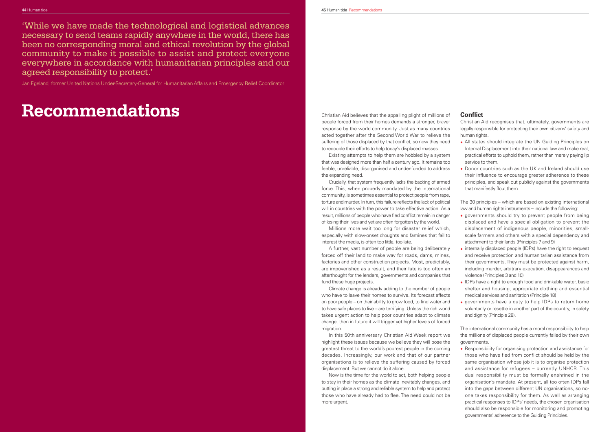'While we have made the technological and logistical advances necessary to send teams rapidly anywhere in the world, there has been no corresponding moral and ethical revolution by the global community to make it possible to assist and protect everyone everywhere in accordance with humanitarian principles and our agreed responsibility to protect.'

Jan Egeland, former United Nations Under-Secretary-General for Humanitarian Affairs and Emergency Relief Coordinator

## **Recommendations**

Existing attempts to help them are hobbled by a system that was designed more than half a century ago. It remains too feeble, unreliable, disorganised and under-funded to address the expanding need.

Millions more wait too long for disaster relief which, especially with slow-onset droughts and famines that fail to interest the media, is often too little, too late.

A further, vast number of people are being deliberately forced off their land to make way for roads, dams, mines, factories and other construction projects. Most, predictably, are impoverished as a result, and their fate is too often an afterthought for the lenders, governments and companies that fund these huge projects.

Christian Aid believes that the appalling plight of millions of people forced from their homes demands a stronger, braver response by the world community. Just as many countries acted together after the Second World War to relieve the suffering of those displaced by that conflict, so now they need to redouble their efforts to help today's displaced masses. Christian Aid recognises that, ultimately, governments are legally responsible for protecting their own citizens' safety and human rights. • All states should integrate the UN Guiding Principles on Internal Displacement into their national law and make real,

Climate change is already adding to the number of people who have to leave their homes to survive. Its forecast effects on poor people – on their ability to grow food, to find water and to have safe places to live – are terrifying. Unless the rich world takes urgent action to help poor countries adapt to climate change, then in future it will trigger yet higher levels of forced migration.

Crucially, that system frequently lacks the backing of armed force. This, when properly mandated by the international community, is sometimes essential to protect people from rape, torture and murder. In turn, this failure reflects the lack of political will in countries with the power to take effective action. As a result, millions of people who have fled conflict remain in danger of losing their lives and yet are often forgotten by the world. that manifestly flout them. The 30 principles – which are based on existing international law and human rights instruments – include the following: • governments should try to prevent people from being

In this 50th anniversary Christian Aid Week report we highlight these issues because we believe they will pose the greatest threat to the world's poorest people in the coming decades. Increasingly, our work and that of our partner organisations is to relieve the suffering caused by forced displacement. But we cannot do it alone.

Now is the time for the world to act, both helping people to stay in their homes as the climate inevitably changes, and putting in place a strong and reliable system to help and protect those who have already had to flee. The need could not be more urgent.

### **Conflict**

- practical efforts to uphold them, rather than merely paying lip service to them.
- Donor countries such as the UK and Ireland should use their influence to encourage greater adherence to these principles, and speak out publicly against the governments
- displaced and have a special obligation to prevent the displacement of indigenous people, minorities, smallscale farmers and others with a special dependency and attachment to their lands (Principles 7 and 9)
- internally displaced people (IDPs) have the right to request and receive protection and humanitarian assistance from their governments. They must be protected against harm, including murder, arbitrary execution, disappearances and violence (Principles 3 and 10)
- IDPs have a right to enough food and drinkable water, basic shelter and housing, appropriate clothing and essential medical services and sanitation (Principle 18)
- governments have a duty to help IDPs to return home voluntarily or resettle in another part of the country, in safety and dignity (Principle 28).

The international community has a moral responsibility to help the millions of displaced people currently failed by their own governments.

• Responsibility for organising protection and assistance for those who have fled from conflict should be held by the same organisation whose job it is to organise protection and assistance for refugees – currently UNHCR. This dual responsibility must be formally enshrined in the organisation's mandate. At present, all too often IDPs fall into the gaps between different UN organisations, so noone takes responsibility for them. As well as arranging practical responses to IDPs' needs, the chosen organisation should also be responsible for monitoring and promoting governments' adherence to the Guiding Principles.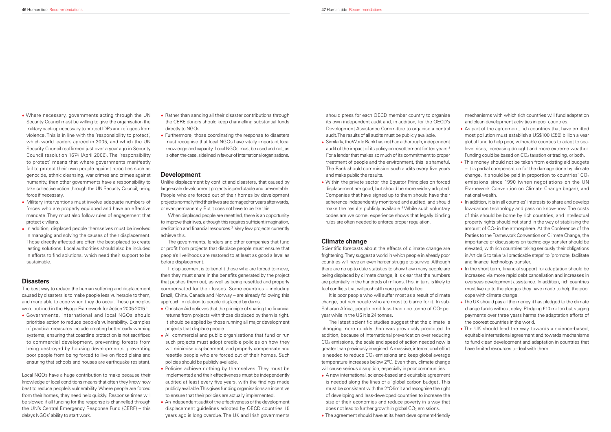- Where necessary, governments acting through the UN Security Council must be willing to give the organisation the military back-up necessary to protect IDPs and refugees from violence. This is in line with the 'responsibility to protect', which world leaders agreed in 2005, and which the UN Security Council reaffirmed just over a year ago in Security Council resolution 1674 (April 2006). The 'responsibility to protect' means that where governments manifestly fail to protect their own people against atrocities such as genocide, ethnic cleansing, war crimes and crimes against humanity, then other governments have a responsibility to take collective action through the UN Security Council, using force if necessary.
- Military interventions must involve adequate numbers of forces who are properly equipped and have an effective mandate. They must also follow rules of engagement that protect civilians.
- In addition, displaced people themselves must be involved in managing and solving the causes of their displacement. Those directly affected are often the best-placed to create lasting solutions. Local authorities should also be included in efforts to find solutions, which need their support to be sustainable.

#### **Disasters**

- Rather than sending all their disaster contributions through the CERF, donors should keep channelling substantial funds directly to NGOs.
- Furthermore, those coordinating the response to disasters must recognise that local NGOs have vitally important local knowledge and capacity. Local NGOs must be used and not, as is often the case, sidelined in favour of international organisations.

The best way to reduce the human suffering and displacement caused by disasters is to make people less vulnerable to them, and more able to cope when they do occur. These principles were outlined in the Hyogo Framework for Action 2005-2015.1

• Governments, international and local NGOs should prioritise action to reduce people's vulnerability. Examples of practical measures include creating better early warning systems, ensuring that coastline protection is not sacrificed to commercial development, preventing forests from being destroyed by housing developments, preventing poor people from being forced to live on flood plains and ensuring that schools and houses are earthquake resistant.

If displacement is to benefit those who are forced to move, then they must share in the benefits generated by the project that pushes them out, as well as being resettled and properly compensated for their losses. Some countries – including Brazil, China, Canada and Norway – are already following this approach in relation to people displaced by dams.

Local NGOs have a huge contribution to make because their knowledge of local conditions means that often they know how best to reduce people's vulnerability. Where people are forced from their homes, they need help quickly. Response times will be slowed if all funding for the response is channelled through the UN's Central Emergency Response Fund (CERF) – this delays NGOs' ability to start work.

- Christian Aid believes that the principle of sharing the financial returns from projects with those displaced by them is right. It should be applied by those running all major development projects that displace people.
- All commercial and public organisations that fund or run such projects must adopt credible policies on how they will minimise displacement, and properly compensate and resettle people who are forced out of their homes. Such policies should be publicly available.
- Policies achieve nothing by themselves. They must be implemented and their effectiveness must be independently audited at least every five years, with the findings made publicly available. This gives funding organisations an incentive to ensure that their policies are actually implemented.
- An independent audit of the effectiveness of the development displacement guidelines adopted by OECD countries 15 years ago is long overdue. The UK and Irish governments

#### **Development**

Scientific forecasts about the effects of climate change are frightening. They suggest a world in which people in already poor countries will have an even harder struggle to survive. Although there are no up-to-date statistics to show how many people are being displaced by climate change, it is clear that the numbers are potentially in the hundreds of millions. This, in turn, is likely to fuel conflicts that will push still more people to flee.

Unlike displacement by conflict and disasters, that caused by large-scale development projects is predictable and preventable. People who are forced out of their homes by development projects normally find their lives are damaged for years afterwards, or even permanently. But it does not have to be like this.

When displaced people are resettled, there is an opportunity to improve their lives, although this requires sufficient imagination, dedication and financial resources.<sup>2</sup> Very few projects currently achieve this.

> It is poor people who will suffer most as a result of climate change, but rich people who are most to blame for it. In sub-Saharan Africa, people emit less than one tonne of  $CO<sub>2</sub>$  per year while in the US it is 24 tonnes.

The governments, lenders and other companies that fund or profit from projects that displace people must ensure that people's livelihoods are restored to at least as good a level as before displacement.

should press for each OECD member country to organise its own independent audit and, in addition, for the OECD's Development Assistance Committee to organise a central audit. The results of all audits must be publicly available.

- Similarly, the World Bank has not had a thorough, independent audit of the impact of its policy on resettlement for ten years.<sup>3</sup> For a lender that makes so much of its commitment to proper treatment of people and the environment, this is shameful. The Bank should commission such audits every five years and make public the results.
- Within the private sector, the Equator Principles on forced displacement are good, but should be more widely adopted. Companies that have signed up to them should have their adherence independently monitored and audited, and should make the results publicly available.<sup>4</sup> While such voluntary codes are welcome, experience shows that legally binding rules are often needed to enforce proper regulation.

#### **Climate change**

- The latest scientific studies suggest that the climate is changing more quickly than was previously predicted. In addition, because of international prevarication over reducing CO2 emissions, the scale and speed of action needed now is greater than previously imagined. A massive, international effort is needed to reduce  $CO<sub>2</sub>$  emissions and keep global average temperature increases below 2°C. Even then, climate change will cause serious disruption, especially in poor communities. • The UK should lead the way towards a science-based, equitable international agreement and towards mechanisms to fund clean development and adaptation in countries that have limited resources to deal with them.
- A new international, science-based and equitable agreement is needed along the lines of a 'global carbon budget'. This must be consistent with the 2°C-limit and recognise the right of developing and less-developed countries to increase the size of their economies and reduce poverty in a way that does not lead to further growth in global CO<sub>2</sub> emissions.
- The agreement should have at its heart development-friendly

mechanisms with which rich countries will fund adaptation and clean-development activities in poor countries.

- As part of the agreement, rich countries that have emitted most pollution must establish a US\$100 (£50) billion a year global fund to help poor, vulnerable counties to adapt to sealevel rises, increasing drought and more extreme weather. Funding could be based on CO<sub>2</sub> taxation or trading, or both.
- This money should not be taken from existing aid budgets – it is partial compensation for the damage done by climate change. It should be paid in proportion to countries' CO2 emissions since 1990 (when negotiations on the UN Framework Convention on Climate Change began), and national wealth.
- In addition, it is in all countries' interests to share and develop low-carbon technology and pass on know-how. The costs of this should be borne by rich countries, and intellectual property rights should not stand in the way of stabilising the amount of  $CO<sub>2</sub>$  in the atmosphere. At the Conference of the Parties to the Framework Convention on Climate Change, the importance of discussions on technology transfer should be elevated, with rich countries taking seriously their obligations in Article 5 to take 'all practicable steps' to 'promote, facilitate and finance' technology transfer.
- In the short term, financial support for adaptation should be increased via more rapid debt cancellation and increases in overseas development assistance. In addition, rich countries must live up to the pledges they have made to help the poor cope with climate change.
- The UK should pay all the money it has pledged to the climate change funds without delay. Pledging £10 million but staging payments over three years harms the adaptation efforts of the poorest countries in the world.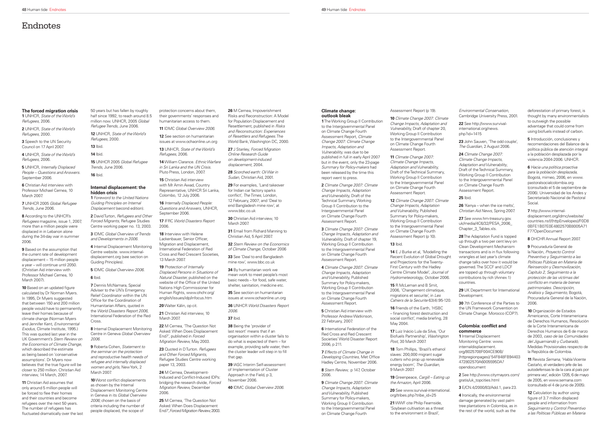#### **The forced migration crisis 1** UNHCR, State of the World's Refugees, 2006.

**3** Speech to the UN Security Council on 17 April 2007.

**2** UNHCR, State of the World's Refugees, 2000.

**5** UNHCR, Internally Displaced People – Questions and Answers. September 2006.

**4** UNHCR, State of the World's Refugees, 2006.

**6** Christian Aid interview with Professor Michael Cernea, 10 March 2007.

**7** UNHCR 2005 Global Refugee Trends, June 2006.

**8** According to the UNHCR's Refugees magazine, issue 1, 2007, more than a million people were displaced in in Lebanon alone during the 34-day war in summer 2006.

**10** Based on an updated figure calculated by Dr Norman Myers. In 1995, Dr Myers suggested that between 150 and 200 million people would have to permanently leave their homes because of climate change (Norman Myers and Jennifer Kent, Environmental Exodus, Climate Institute, 1995.) This was quoted last year in the UK Government's Stern Review on the Economics of Climate Change, which described the estimate as being based on 'conservative assumptions'. Dr Myers now believes that the true figure will be closer to 250 million. Christian Aid interview, 14 March, 2007.

**11** Christian Aid assumes that only around 5 million people will be forced to flee their homes and their countries and become refugees over the next 50 years. The number of refugees has fluctuated dramatically over the last

**9** Based on the assumption that the current rate of development displacement – 15 million people a year – will continue until 2050. (Christian Aid interview with Professor Michael Cernea, 10 March 2007).

> **10** Worst conflict displacements as chosen by the Internal Displacement Monitoring Centre in Geneva in its Global Overview 2006; chosen on the basis of criteria including the number of people displaced, the scope of

13 UNHCR, State of the World's Refugees, 2006.

50 years but has fallen by roughly half since 1992, to reach around 8.5 million now. UNHCR, 2005 Global Refugee Trends, June 2006.

> **14** William Clarance. Ethnic Warfare in Sri Lanka and the UN Crisis.Pluto Press, London, 2007.

**12** UNHCR, State of the World's Refugees, 2000.

**13** Ibid. **14** Ibid.

**15** UNHCR 2005 Global Refugee Trends, June 2006. **16** Ibid.

> **18** Interview with Helene Lackenbauer, Senior Officer, Migration and Displacement, International Federation of Red Cross and Red Crescent Societies, 13 March 2007.

#### **Internal displacement: the hidden crisis**

**1** Foreword to the United Nations Guiding Principles on Internal Displacement (second edition).

**2** David Turton, Refugees and Other Forced Migrants, Refugee Studies Centre working paper no. 13, 2003.

**3** IDMC Global Overview of Trends and Developments in 2006.

> **23** Quoted in D Turton. Refugees and Other Forced Migrants Refugee Studies Centre working paper 13, 2003.

**4** Internal Displacement Monitoring Centre website. www.internaldisplacement.org (see section on Guiding Principles).

> 25 M Cernea, 'The Question Not Asked: When Does Displacement End?', Forced Migration Review, 2003.

**5** IDMC Global Overview 2006. **6** Ibid.

**7** Dennis McNamara, Special Adviser to the UN's Emergency Relief Coordinator within the UN Office for the Coordination of Humanitarian Affairs, quoted in the World Disasters Report 2006, International Federation of the Red Cross.

29 For examples, 'Land takeover for Indian car factory sparks conflict', The Times, London, 12 February, 2007; and 'Deal to end Bangladesh mine row', at www.bbc.co.uk

**30** Christian Aid interview, 10 March 2007

**8** Internal Displacement Monitoring Centre in Geneva Global Overview 2006.

**9** Roberta Cohen, Statement to the seminar on the protection and reproductive health needs of refugee and internally displaced women and girls, New York, 2 March 2007.

**38** Being the 'provider of last resort' means that if an organisation within a cluster fails to do what is expected of them – for example, providing safe water, then the cluster leader will step in to fill that gap.

protection concerns about them, their governments' responses and humanitarian access to them.

**11** IDMC Global Overview 2006.

**12** See section on humanitarian issues at www.ochaonline.un.org

**15** Christian Aid interview with Mr Amin Awad, Country Representative, UNHCR Sri Lanka, Colombo, 12 July 2006.

**16** Internally Displaced People: Questions and Answers, UNHCR September 2006.

**17** IFRC World Disasters Report 2006.

**19** Protection of Internally Displaced Persons in Situations of Natural Disaster, published on the website of the Office of the United Nations High Commissioner for Human Rights, www.ohchr.org/ english/issues/idp/infocus.htm

**12** Climate Change 2007: Climate Change Impacts, Adaptation and Vulnerability, Published Summary for Policy-makers, Working Group II Contribution to the Intergovernmental Panel on Climate Change Fourth Assessment Report (p 10).

**20** Walter Kälin, op cit.

**21** Christian Aid interview, 10

March 2007.

**22** M Cernea, 'The Question Not Asked: When Does Displacement End?', published in Forced Migration Review, May 2003.

**24** M Cernea, Development-Induced and Conflict-Induced IDPs bridging the research divide, Forced Migration Review, December 2006.

**18** Tom Phillips, 'Brazil's ethanol slaves: 200,000 migrant sugar cutters who prop up renewable energy boom', The Guardian 9 March 2007.

**26** M Cernea, Impoverishment Risks and Reconstruction: A Model for Population Displacement and Resettlement, published in Risks and Reconstruction: Experiences of Resettlers and Refugees. The World Bank, Washington DC, 2000.

27 J Stanley, Forced Migration Online Research Guide on development-induced displacement, 2004.

23 John Sauven, 'The odd couple', The Guardian, 2 August 2006.

**27** See www.hm-treasury.gov. uk/media/4C6/32/PESA\_2006\_ Chapter 3 Tables.xls.

**28** Scorched earth: Oil War in Sudan, Christian Aid, 2001.

> **29** UK Department for International Development.

#### **Colombia: conflict and commerce**

**31** Email from Richard Manning to Christian Aid, 5 April 2007.

**32** Stern Review on the Economics of Climate Change, October 2006

**33** See 'Deal to end Bangladesh mine row', www.bbc.co.uk

**34** By humanitarian work we mean work to meet people's most basic needs – for food, safe water, shelter, sanitation, medicine etc.

**5** Introducción, conclusiones y recomendaciones del Balance de la política pública de atención integral a la población desplazada por la violencia 2004-2006. UNHCR.

**35** See section on humanitarian issues at www.ochaonline.un.org

**36** UNHCR World Disasters Report 2006.

#### **37** Ibid.

**39** IASC Interim Self-assessment of Implementation of Cluster Approach in the Field, p 3, November 2006.

**40** IDMC Global Overview 2006.

#### **Climate change: outlook bleak**

**1** The Working Group II Contribution to the Intergovernmental Panel on Climate Change Fourth Assessment Report, Climate Change 2007: Climate Change Impacts, Adaptation and Vulnerability, was due to be published in full in early April 2007 but in the event, only the 23-page Summary for Policy-makers had been released by the time this report went to press.

**2** Climate Change 2007: Climate Change Impacts, Adaptation and Vulnerability, Draft of the Technical Summary, Working Group II Contribution to the Intergovernmental Panel on Climate Change Fourth Assessment Report.

**3** Climate Change 2007: Climate Change Impacts, Adaptation and Vulnerability, Draft of chapter 19, Working Group II Contribution to the Intergovernmental Panel on Climate Change Fourth Assessment Report.

**4** Climate Change 2007: Climate Change Impacts, Adaptation and Vulnerability, Published Summary for Policy-makers, Working Group II Contribution to the Intergovernmental Panel on Climate Change Fourth Assessment Report.

**5** Christian Aid interview with Professor Andrew Watkinson, 22 February, 2007.

**6** International Federation of the Red Cross and Red Crescent Societies' World Disaster Report 2006, p 211.

**7** Effects of Climate Change in Developing Countries, Met Office Hadley Centre, November 2006.

**8** Stern Review, p 147, October 2006.

**9** Climate Change 2007: Climate Change Impacts, Adaptation and Vulnerability, Published Summary for Policy-makers, Working Group II Contribution to the Intergovernmental Panel on Climate Change Fourth

#### Assessment Report (p 19).

**10** Climate Change 2007: Climate Change Impacts, Adaptation and Vulnerability, Draft of chapter 20, Working Group II Contribution to the Intergovernmental Panel on Climate Change Fourth Assessment Report.

**11** Climate Change 2007: Climate Change Impacts, Adaptation and Vulnerability, Draft of the Technical Summary, Working Group II Contribution to the Intergovernmental Panel on Climate Change Fourth Assessment Report.

**13** Ibid.

**14** E J Burke et al, 'Modelling the Recent Evolution of Global Drought and Projections for the Twenty-First Century with the Hadley Centre Climate Model', Journal of Hydrometeorology, October 2006.

**15** R McLeman and B Smit, 2006, 'Changement climatique, migrations et securite', in Les Cahiers de la Securite 63(4):95-120.

**16** Friends of the Earth, 'HSBC – financing forest destruction and social conflict', media briefing, 28 May 2004.

**17** Luiz Inácio Lula da Silva, 'Our Biofuels Partnership', Washington Post, 30 March 2007.

**19** Greenpeace, Cargill – Eating up the Amazon, April 2006.

**20** See www.survival-international. org/tribes.php?tribe\_id=25

**21** WWF cite Philip Fearnside, 'Soybean cultivation as a threat to the environment in Brazil',

Environmental Conservation, Cambridge University Press, 2001.

**22** See http://www.survivalinternational.org/news. php?id=1415

**24** Climate Change 2007: Climate Change Impacts, Adaptation and Vulnerability, Draft of the Technical Summary, Working Group II Contribution to the Intergovernmental Panel on Climate Change Fourth Assessment Report.

#### **25** Ibid.

**26** 'Kenya – when the ice melts', Christian Aid News, Spring 2007.

**28** The Adaptation Fund is topped up through a two per cent levy on Clean Development Mechanism transactions and is in flux following wrangles at last year's climate change talks over how it would be governed. The SCCF and LDCF are topped up through voluntary contributions by rich (Annex 1) countries.

**30** 7th Conference of the Parties to the UN Framework Convention on Climate Change. Morocco (COP7).

**1** Internal Displacement Monitoring Centre: www. internaldisplacement. org/8025708F004CE90B/

)httpregionpages)/ 54F848FB94403 472802570A6005595DA? opendocument

**2** See http://www.citymayors.com/ gratis/uk\_topcities.html

**3** E/CN.4/2000/83/Add.1, para 23.

**4** Ironically, the environmental damage generated by vast palm tree plantations in Colombia, as in the rest of the world, such as the

deforestation of primary forest, is thought by many environmentalists to outweigh the possible advantage that could come from using biofuels instead of carbon.

**6** Hacia una política proactiva para la población desplazada, Bogotá, mimeo, 2006, en www. pastoralsocialcolombia.org (consultado el 5 de septiembre de 2006). Universidad de los Andes y Secretariado Nacional de Pastoral Social.

**7** http://www.internaldisplacement.org/idmc/website/ countries.nsf/(httpEnvelopes)/F0D8 0BFE1B07E0E4802570B8005A71F7?OpenDocument

**8** OHCHR Annual Report 2007.

**9** Procuraduría General de la Nación, Proyecto Control Preventivo y Seguimiento a las Políticas Públicas en Materia de Reinserción y Desmovilización, Capítulo 2, Seguimiento a la protección de las víctimas del conflicto en materia de bienes patrimoniales. Descripción, Análisis y Seguimiento, Bogotá, Procuraduría General de la Nación, 2006.

**10** Organización de Estados Americanos, Corte Interamericana de Derechos Humanos, Resolución de la Corte Interamericana de Derechos Humanos de 6 de marzo de 2003, caso de las Comunidades del Jiguamiandó y Curbaradó, Medidas Provisionales respecto de la República de Colombia.

**11** Revista Semana, 'Habla Vicente Castaño, el verdadero jefe de las autodefensas le da la cara al país por primera vez', edición 1205, 6 de mayo de 2005, en www.semana.com (consultado el 4 de junio de 2005).

**12** Calculation by author using figure of 3.7 million displaced people and information from Seguimiento y Control Preventivo a las Políticas Públicas en Materia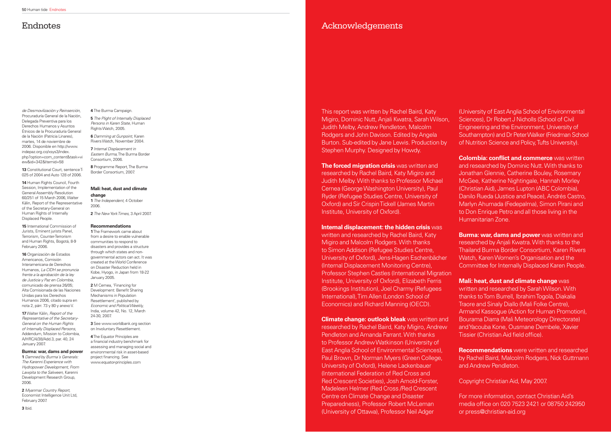de Desmovilización y Reinserción, Procuraduría General de la Nación, Delegada Preventiva para los Derechos Humanos y Asuntos Étnicos de la Procuraduría General de la Nación (Patricia Linares), martes, 14 de noviembre de 2006. Disponible en http://www. indepaz.org.co/xsys3/index. php?option=com\_content&task=vi ew&id=342&Itemid=58

**13** Constitutional Court, sentence T-025 of 2004 and Auto 128 of 2006.

**14** Human Rights Council, Fourth Session, Implementation of the General Assembly Resolution 60/251 of 15 March 2006, Walter Kälin, Report of the Representative of the Secretary-General on Human Rights of Internally Displaced People.

**15** International Commission of Jurists, Eminent jurists Panel, Terrorism, Counter-Terrorism and Human Rights, Bogotá, 8-9 February 2006.

**16** Organización de Estados Americanos, Comisión Interamericana de Derechos Humanos, La CIDH se pronuncia frente a la aprobación de la ley de Justicia y Paz en Colombia, comunicado de prensa 26/05; Alta Comisionada de las Naciones Unidas para los Derechos Humanos 2006, citado supra en nota 2, párr. 73 y 80 y anexo V.

**17** Walter Kälin, Report of the Representative of the Secretary-General on the Human Rights of Internally Displaced Persons, Addendum, Mission to Colombia, A/HRC/4/38/Add.3, par. 40, 24 January 2007.

#### **Burma: war, dams and power**

**1** Damned by Burma´s Generals: The Karenni Experience with Hydropower Development, From Lawpita to the Salween, Karenni Development Research Group, 2006.

**2** Myanmar Country Report, Economist Intelligence Unit Ltd, February 2007.

**4** The Burma Campaign.

**5** The Plight of Internally Displaced Persons in Karen State, Human Rights Watch, 2005.

> **The forced migration crisis** was written and researched by Rachel Baird, Katy Migiro and Judith Melby. With thanks to Professor Michael Cernea (George Washington University), Paul Ryder (Refugee Studies Centre, University of Oxford) and Sir Crispin Tickell (James Martin Institute, University of Oxford).

**6** Damming at Gunpoint, Karen Rivers Watch, November 2004.

**7** Internal Displacement in Eastern Burma, The Burma Border Consortium, 2006.

**8** Programme Report, The Burma Border Consortium, 2007.

#### **Mali: heat, dust and climate change**

**1** The Independent, 4 October 2006.

**2** The New York Times, 3 April 2007.

#### **Recommendations**

**1** The Framework came about from a desire to enable vulnerable communities to respond to disasters and provides a structure through which states and nongovernmental actors can act. It was created at the World Conference on Disaster Reduction held in Kobe, Hyogo, in Japan from 18-22 January 2005.

**2** M Cernea, 'Financing for Development: Benefit Sharing Mechanisms in Population Resettlement', published by Economic and Political Weekly, India, volume 42, No. 12, March 24-30, 2007.

**3** See www.worldbank.org section on Involuntary Resettlement.

**Colombia: conflict and commerce** was written and researched by Dominic Nutt. With thanks to Jonathan Glennie, Catherine Bouley, Rosemary McGee, Katherine Nightingale, Hannah Morley (Christian Aid), James Lupton (ABC Colombia), Danilo Rueda (Justice and Peace), Andrés Castro, Marlyn Ahumada (Fedepalma), Simon Pirani and to Don Enrique Petro and all those living in the Humanitarian Zone.

**Mali: heat, dust and climate change** was written and researched by Sarah Wilson. With thanks to Tom Burrell, Ibrahim Togola, Diakalia Traore and Sinaly Diallo (Mali Folke Centre), Armand Kassogue (Action for Human Promotion), Bourama Diarra (Mali Meteorology Directorate) and Yacouba Kone, Ousmane Dembele, Xavier Tissier (Christian Aid field office).

**4** The Equator Principles are a financial industry benchmark for assessing and managing social and environmental risk in asset-based project financing. See www.equator-principles.com

### Endnotes

Acknowledgements

This report was written by Rachel Baird, Katy Migiro, Dominic Nutt, Anjali Kwatra, Sarah Wilson, Judith Melby, Andrew Pendleton, Malcolm Rodgers and John Davison. Edited by Angela Burton. Sub-edited by Jane Lewis. Production by Stephen Murphy. Designed by Howdy.

#### **Internal displacement: the hidden crisis** was

written and researched by Rachel Baird, Katy Migiro and Malcolm Rodgers. With thanks to Simon Addison (Refugee Studies Centre, University of Oxford), Jens-Hagen Eschenbächer (Internal Displacement Monitoring Centre), Professor Stephen Castles (International Migration Institute, University of Oxford), Elizabeth Ferris (Brookings Institution), Joel Charmy (Refugees International), Tim Allen (London School of Economics) and Richard Manning (OECD).

**Climate change: outlook bleak** was written and researched by Rachel Baird, Katy Migiro, Andrew Pendleton and Amanda Farrant. With thanks to Professor Andrew Watkinson (University of East Anglia School of Environmental Sciences), Paul Brown, Dr Norman Myers (Green College, University of Oxford), Helene Lackenbauer (International Federation of Red Cross and Red Crescent Societies), Josh Arnold-Forster, Madeleen Helmer (Red Cross /Red Crescent Centre on Climate Change and Disaster Preparedness), Professor Robert McLeman (University of Ottawa), Professor Neil Adger

(University of East Anglia School of Environmental Sciences), Dr Robert J Nicholls (School of Civil Engineering and the Environment, University of Southampton) and Dr Peter Walker (Friedman School of Nutrition Science and Policy, Tufts University).

**Burma: war, dams and power** was written and researched by Anjali Kwatra. With thanks to the Thailand Burma Border Consortium, Karen Rivers Watch, Karen Women's Organisation and the Committee for Internally Displaced Karen People.

**Recommendations** were written and researched by Rachel Baird, Malcolm Rodgers, Nick Guttmann and Andrew Pendleton.

Copyright Christian Aid, May 2007.

For more information, contact Christian Aid's media office on 020 7523 2421 or 08750 242950 or press@christian-aid.org